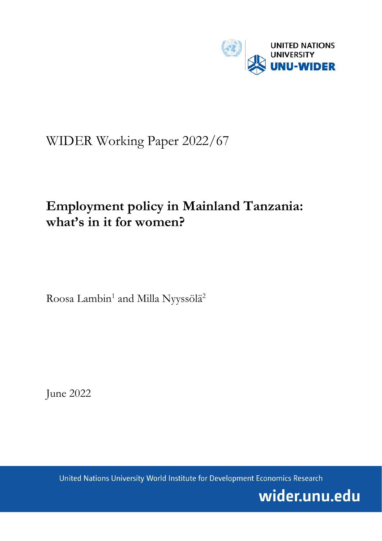

# WIDER Working Paper 2022/67

# **Employment policy in Mainland Tanzania: what's in it for women?**

Roosa Lambin<sup>1</sup> and Milla Nyyssölä<sup>2</sup>

June 2022

United Nations University World Institute for Development Economics Research

wider.unu.edu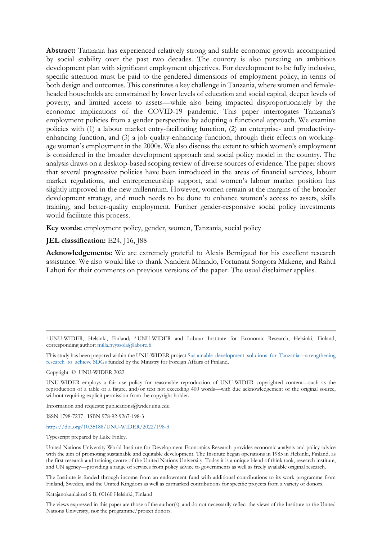**Abstract:** Tanzania has experienced relatively strong and stable economic growth accompanied by social stability over the past two decades. The country is also pursuing an ambitious development plan with significant employment objectives. For development to be fully inclusive, specific attention must be paid to the gendered dimensions of employment policy, in terms of both design and outcomes. This constitutes a key challenge in Tanzania, where women and femaleheaded households are constrained by lower levels of education and social capital, deeper levels of poverty, and limited access to assets—while also being impacted disproportionately by the economic implications of the COVID-19 pandemic. This paper interrogates Tanzania's employment policies from a gender perspective by adopting a functional approach. We examine policies with (1) a labour market entry-facilitating function, (2) an enterprise- and productivityenhancing function, and (3) a job quality-enhancing function, through their effects on workingage women's employment in the 2000s. We also discuss the extent to which women's employment is considered in the broader development approach and social policy model in the country. The analysis draws on a desktop-based scoping review of diverse sources of evidence. The paper shows that several progressive policies have been introduced in the areas of financial services, labour market regulations, and entrepreneurship support, and women's labour market position has slightly improved in the new millennium. However, women remain at the margins of the broader development strategy, and much needs to be done to enhance women's access to assets, skills training, and better-quality employment. Further gender-responsive social policy investments would facilitate this process.

**Key words:** employment policy, gender, women, Tanzania, social policy

#### **JEL classification:** E24, J16, J88

**Acknowledgements:** We are extremely grateful to Alexis Bernigaud for his excellent research assistance. We also would like to thank Nandera Mhando, Fortunata Songora Makene, and Rahul Lahoti for their comments on previous versions of the paper. The usual disclaimer applies.

This study has been prepared within the UNU-WIDER projec[t Sustainable development solutions for Tanzania—strengthening](https://www.wider.unu.edu/project/sustainable-development-solutions-tanzania-%E2%80%93-strengthening-research-achieve-sdgs)  [research to achieve SDGs](https://www.wider.unu.edu/project/sustainable-development-solutions-tanzania-%E2%80%93-strengthening-research-achieve-sdgs) funded by the Ministry for Foreign Affairs of Finland.

Copyright © UNU-WIDER 2022

Information and requests: publications@wider.unu.edu

ISSN 1798-7237 ISBN 978-92-9267-198-3

#### <https://doi.org/10.35188/UNU-WIDER/2022/198-3>

Typescript prepared by Luke Finley.

The Institute is funded through income from an endowment fund with additional contributions to its work programme from Finland, Sweden, and the United Kingdom as well as earmarked contributions for specific projects from a variety of donors.

Katajanokanlaituri 6 B, 00160 Helsinki, Finland

The views expressed in this paper are those of the author(s), and do not necessarily reflect the views of the Institute or the United Nations University, nor the programme/project donors.

<sup>1</sup> UNU-WIDER, Helsinki, Finland; 2 UNU-WIDER and Labour Institute for Economic Research, Helsinki, Finland, corresponding author: [milla.nyyssola@labore.fi](mailto:milla.nyyssola@labore.fi)

UNU-WIDER employs a fair use policy for reasonable reproduction of UNU-WIDER copyrighted content—such as the reproduction of a table or a figure, and/or text not exceeding 400 words—with due acknowledgement of the original source, without requiring explicit permission from the copyright holder.

United Nations University World Institute for Development Economics Research provides economic analysis and policy advice with the aim of promoting sustainable and equitable development. The Institute began operations in 1985 in Helsinki, Finland, as the first research and training centre of the United Nations University. Today it is a unique blend of think tank, research institute, and UN agency—providing a range of services from policy advice to governments as well as freely available original research.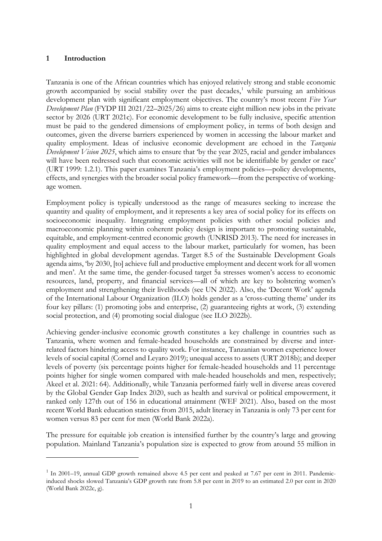## **1 Introduction**

Tanzania is one of the African countries which has enjoyed relatively strong and stable economic growth accompanied by social stability over the past decades, [1](#page-2-0) while pursuing an ambitious development plan with significant employment objectives. The country's most recent *Five Year Development Plan* (FYDP III 2021/22–2025/26) aims to create eight million new jobs in the private sector by 2026 (URT 2021c). For economic development to be fully inclusive, specific attention must be paid to the gendered dimensions of employment policy, in terms of both design and outcomes, given the diverse barriers experienced by women in accessing the labour market and quality employment. Ideas of inclusive economic development are echoed in the *Tanzania Development Vision 2025*, which aims to ensure that 'by the year 2025, racial and gender imbalances will have been redressed such that economic activities will not be identifiable by gender or race' (URT 1999: 1.2.1). This paper examines Tanzania's employment policies—policy developments, effects, and synergies with the broader social policy framework—from the perspective of workingage women.

Employment policy is typically understood as the range of measures seeking to increase the quantity and quality of employment, and it represents a key area of social policy for its effects on socioeconomic inequality. Integrating employment policies with other social policies and macroeconomic planning within coherent policy design is important to promoting sustainable, equitable, and employment-centred economic growth (UNRISD 2013). The need for increases in quality employment and equal access to the labour market, particularly for women, has been highlighted in global development agendas. Target 8.5 of the Sustainable Development Goals agenda aims, 'by 2030, [to] achieve full and productive employment and decent work for all women and men'. At the same time, the gender-focused target 5a stresses women's access to economic resources, land, property, and financial services—all of which are key to bolstering women's employment and strengthening their livelihoods (see UN 2022). Also, the 'Decent Work' agenda of the International Labour Organization (ILO) holds gender as a 'cross-cutting theme' under its four key pillars: (1) promoting jobs and enterprise, (2) guaranteeing rights at work, (3) extending social protection, and (4) promoting social dialogue (see ILO 2022b).

Achieving gender-inclusive economic growth constitutes a key challenge in countries such as Tanzania, where women and female-headed households are constrained by diverse and interrelated factors hindering access to quality work. For instance, Tanzanian women experience lower levels of social capital (Cornel and Leyaro 2019); unequal access to assets (URT 2018b); and deeper levels of poverty (six percentage points higher for female-headed households and 11 percentage points higher for single women compared with male-headed households and men, respectively; Akeel et al. 2021: 64). Additionally, while Tanzania performed fairly well in diverse areas covered by the Global Gender Gap Index 2020, such as health and survival or political empowerment, it ranked only 127th out of 156 in educational attainment (WEF 2021). Also, based on the most recent World Bank education statistics from 2015, adult literacy in Tanzania is only 73 per cent for women versus 83 per cent for men (World Bank 2022a).

The pressure for equitable job creation is intensified further by the country's large and growing population. Mainland Tanzania's population size is expected to grow from around 55 million in

<span id="page-2-0"></span> $1$  In 2001–19, annual GDP growth remained above 4.5 per cent and peaked at 7.67 per cent in 2011. Pandemicinduced shocks slowed Tanzania's GDP growth rate from 5.8 per cent in 2019 to an estimated 2.0 per cent in 2020 (World Bank 2022c, g).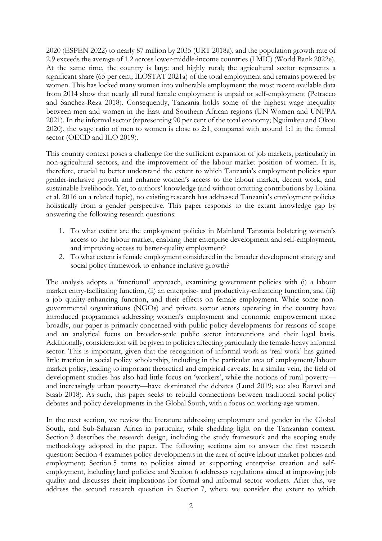2020 (ESPEN 2022) to nearly 87 million by 2035 (URT 2018a), and the population growth rate of 2.9 exceeds the average of 1.2 across lower-middle-income countries (LMIC) (World Bank 2022e). At the same time, the country is large and highly rural; the agricultural sector represents a significant share (65 per cent; ILOSTAT 2021a) of the total employment and remains powered by women. This has locked many women into vulnerable employment; the most recent available data from 2014 show that nearly all rural female employment is unpaid or self-employment (Petracco and Sanchez-Reza 2018). Consequently, Tanzania holds some of the highest wage inequality between men and women in the East and Southern African regions (UN Women and UNFPA 2021). In the informal sector (representing 90 per cent of the total economy; Nguimkeu and Okou 2020), the wage ratio of men to women is close to 2:1, compared with around 1:1 in the formal sector (OECD and ILO 2019).

This country context poses a challenge for the sufficient expansion of job markets, particularly in non-agricultural sectors, and the improvement of the labour market position of women. It is, therefore, crucial to better understand the extent to which Tanzania's employment policies spur gender-inclusive growth and enhance women's access to the labour market, decent work, and sustainable livelihoods. Yet, to authors' knowledge (and without omitting contributions by Lokina et al. 2016 on a related topic), no existing research has addressed Tanzania's employment policies holistically from a gender perspective. This paper responds to the extant knowledge gap by answering the following research questions:

- 1. To what extent are the employment policies in Mainland Tanzania bolstering women's access to the labour market, enabling their enterprise development and self-employment, and improving access to better-quality employment?
- 2. To what extent is female employment considered in the broader development strategy and social policy framework to enhance inclusive growth?

The analysis adopts a 'functional' approach, examining government policies with (i) a labour market entry-facilitating function, (ii) an enterprise- and productivity-enhancing function, and (iii) a job quality-enhancing function, and their effects on female employment. While some nongovernmental organizations (NGOs) and private sector actors operating in the country have introduced programmes addressing women's employment and economic empowerment more broadly, our paper is primarily concerned with public policy developments for reasons of scope and an analytical focus on broader-scale public sector interventions and their legal basis. Additionally, consideration will be given to policies affecting particularly the female-heavy informal sector. This is important, given that the recognition of informal work as 'real work' has gained little traction in social policy scholarship, including in the particular area of employment/labour market policy, leading to important theoretical and empirical caveats. In a similar vein, the field of development studies has also had little focus on 'workers', while the notions of rural poverty and increasingly urban poverty—have dominated the debates (Lund 2019; see also Razavi and Staab 2018). As such, this paper seeks to rebuild connections between traditional social policy debates and policy developments in the Global South, with a focus on working-age women.

In the next section, we review the literature addressing employment and gender in the Global South, and Sub-Saharan Africa in particular, while shedding light on the Tanzanian context. Section 3 describes the research design, including the study framework and the scoping study methodology adopted in the paper. The following sections aim to answer the first research question: Section 4 examines policy developments in the area of active labour market policies and employment; Section 5 turns to policies aimed at supporting enterprise creation and selfemployment, including land policies; and Section 6 addresses regulations aimed at improving job quality and discusses their implications for formal and informal sector workers. After this, we address the second research question in Section 7, where we consider the extent to which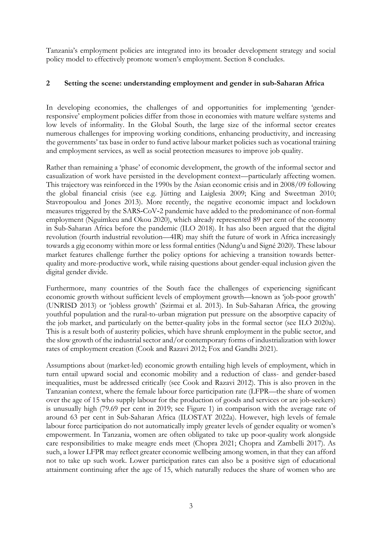Tanzania's employment policies are integrated into its broader development strategy and social policy model to effectively promote women's employment. Section 8 concludes.

## **2 Setting the scene: understanding employment and gender in sub-Saharan Africa**

In developing economies, the challenges of and opportunities for implementing 'genderresponsive' employment policies differ from those in economies with mature welfare systems and low levels of informality. In the Global South, the large size of the informal sector creates numerous challenges for improving working conditions, enhancing productivity, and increasing the governments' tax base in order to fund active labour market policies such as vocational training and employment services, as well as social protection measures to improve job quality.

Rather than remaining a 'phase' of economic development, the growth of the informal sector and casualization of work have persisted in the development context—particularly affecting women. This trajectory was reinforced in the 1990s by the Asian economic crisis and in 2008/09 following the global financial crisis (see e.g. Jütting and Laiglesia 2009; King and Sweetman 2010; Stavropoulou and Jones 2013). More recently, the negative economic impact and lockdown measures triggered by the SARS‑CoV‑2 pandemic have added to the predominance of non-formal employment (Nguimkeu and Okou 2020), which already represented 89 per cent of the economy in Sub-Saharan Africa before the pandemic (ILO 2018). It has also been argued that the digital revolution (fourth industrial revolution—4IR) may shift the future of work in Africa increasingly towards a gig economy within more or less formal entities (Ndung'u and Signé 2020). These labour market features challenge further the policy options for achieving a transition towards betterquality and more-productive work, while raising questions about gender-equal inclusion given the digital gender divide.

Furthermore, many countries of the South face the challenges of experiencing significant economic growth without sufficient levels of employment growth—known as 'job-poor growth' (UNRISD 2013) or 'jobless growth' (Szirmai et al. 2013). In Sub-Saharan Africa, the growing youthful population and the rural-to-urban migration put pressure on the absorptive capacity of the job market, and particularly on the better-quality jobs in the formal sector (see ILO 2020a). This is a result both of austerity policies, which have shrunk employment in the public sector, and the slow growth of the industrial sector and/or contemporary forms of industrialization with lower rates of employment creation (Cook and Razavi 2012; Fox and Gandhi 2021).

Assumptions about (market-led) economic growth entailing high levels of employment, which in turn entail upward social and economic mobility and a reduction of class- and gender-based inequalities, must be addressed critically (see Cook and Razavi 2012). This is also proven in the Tanzanian context, where the female labour force participation rate (LFPR—the share of women over the age of 15 who supply labour for the production of goods and services or are job-seekers) is unusually high (79.69 per cent in 2019; see Figure 1) in comparison with the average rate of around 63 per cent in Sub-Saharan Africa (ILOSTAT 2022a). However, high levels of female labour force participation do not automatically imply greater levels of gender equality or women's empowerment. In Tanzania, women are often obligated to take up poor-quality work alongside care responsibilities to make meagre ends meet (Chopra 2021; Chopra and Zambelli 2017). As such, a lower LFPR may reflect greater economic wellbeing among women, in that they can afford not to take up such work. Lower participation rates can also be a positive sign of educational attainment continuing after the age of 15, which naturally reduces the share of women who are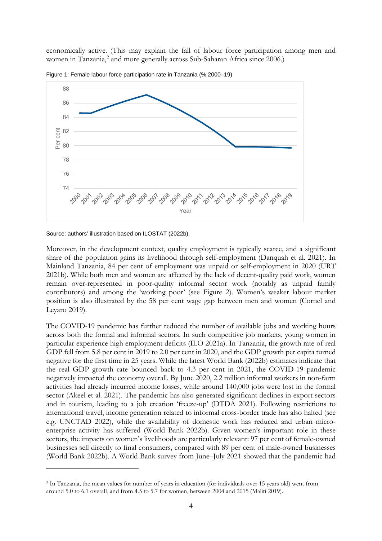economically active. (This may explain the fall of labour force participation among men and women in Tanzania, [2](#page-5-0) and more generally across Sub-Saharan Africa since 2006.)



Figure 1: Female labour force participation rate in Tanzania (% 2000–19)

Moreover, in the development context, quality employment is typically scarce, and a significant share of the population gains its livelihood through self-employment (Danquah et al. 2021). In Mainland Tanzania, 84 per cent of employment was unpaid or self-employment in 2020 (URT 2021b). While both men and women are affected by the lack of decent-quality paid work, women remain over-represented in poor-quality informal sector work (notably as unpaid family contributors) and among the 'working poor' (see Figure 2). Women's weaker labour market position is also illustrated by the 58 per cent wage gap between men and women (Cornel and Leyaro 2019).

The COVID-19 pandemic has further reduced the number of available jobs and working hours across both the formal and informal sectors. In such competitive job markets, young women in particular experience high employment deficits (ILO 2021a). In Tanzania, the growth rate of real GDP fell from 5.8 per cent in 2019 to 2.0 per cent in 2020, and the GDP growth per capita turned negative for the first time in 25 years. While the latest World Bank (2022b) estimates indicate that the real GDP growth rate bounced back to 4.3 per cent in 2021, the COVID-19 pandemic negatively impacted the economy overall. By June 2020, 2.2 million informal workers in non-farm activities had already incurred income losses, while around 140,000 jobs were lost in the formal sector (Akeel et al. 2021). The pandemic has also generated significant declines in export sectors and in tourism, leading to a job creation 'freeze-up' (DTDA 2021). Following restrictions to international travel, income generation related to informal cross-border trade has also halted (see e.g. UNCTAD 2022), while the availability of domestic work has reduced and urban microenterprise activity has suffered (World Bank 2022b). Given women's important role in these sectors, the impacts on women's livelihoods are particularly relevant: 97 per cent of female-owned businesses sell directly to final consumers, compared with 89 per cent of male-owned businesses (World Bank 2022b). A World Bank survey from June–July 2021 showed that the pandemic had

Source: authors' illustration based on ILOSTAT (2022b).

<span id="page-5-0"></span><sup>2</sup> In Tanzania, the mean values for number of years in education (for individuals over 15 years old) went from around 5.0 to 6.1 overall, and from 4.5 to 5.7 for women, between 2004 and 2015 (Maliti 2019).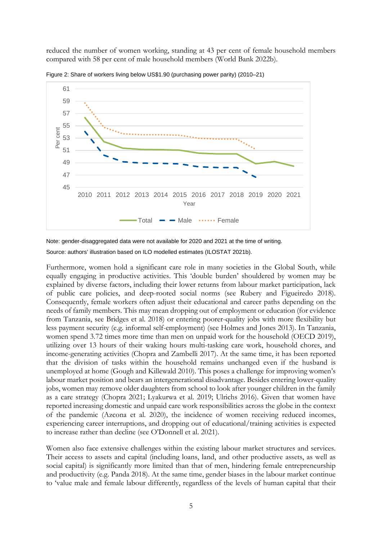reduced the number of women working, standing at 43 per cent of female household members compared with 58 per cent of male household members (World Bank 2022b).



Figure 2: Share of workers living below US\$1.90 (purchasing power parity) (2010–21)

Note: gender-disaggregated data were not available for 2020 and 2021 at the time of writing.

Source: authors' illustration based on ILO modelled estimates (ILOSTAT 2021b).

Furthermore, women hold a significant care role in many societies in the Global South, while equally engaging in productive activities. This 'double burden' shouldered by women may be explained by diverse factors, including their lower returns from labour market participation, lack of public care policies, and deep-rooted social norms (see Rubery and Figueiredo 2018). Consequently, female workers often adjust their educational and career paths depending on the needs of family members. This may mean dropping out of employment or education (for evidence from Tanzania, see Bridges et al. 2018) or entering poorer-quality jobs with more flexibility but less payment security (e.g. informal self-employment) (see Holmes and Jones 2013). In Tanzania, women spend 3.72 times more time than men on unpaid work for the household (OECD 2019), utilizing over 13 hours of their waking hours multi-tasking care work, household chores, and income-generating activities (Chopra and Zambelli 2017). At the same time, it has been reported that the division of tasks within the household remains unchanged even if the husband is unemployed at home (Gough and Killewald 2010). This poses a challenge for improving women's labour market position and bears an intergenerational disadvantage. Besides entering lower-quality jobs, women may remove older daughters from school to look after younger children in the family as a care strategy (Chopra 2021; Lyakurwa et al. 2019; Ulrichs 2016). Given that women have reported increasing domestic and unpaid care work responsibilities across the globe in the context of the pandemic (Azcona et al. 2020), the incidence of women receiving reduced incomes, experiencing career interruptions, and dropping out of educational/training activities is expected to increase rather than decline (see O'Donnell et al. 2021).

Women also face extensive challenges within the existing labour market structures and services. Their access to assets and capital (including loans, land, and other productive assets, as well as social capital) is significantly more limited than that of men, hindering female entrepreneurship and productivity (e.g. Panda 2018). At the same time, gender biases in the labour market continue to 'value male and female labour differently, regardless of the levels of human capital that their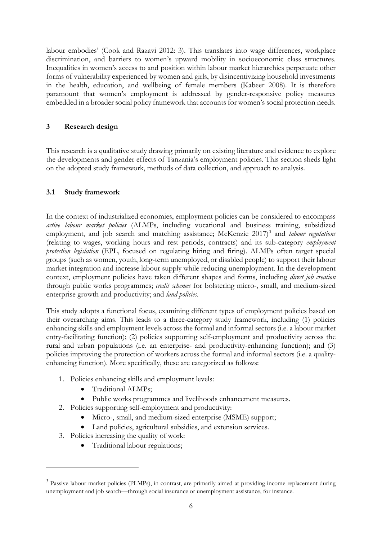labour embodies' (Cook and Razavi 2012: 3). This translates into wage differences, workplace discrimination, and barriers to women's upward mobility in socioeconomic class structures. Inequalities in women's access to and position within labour market hierarchies perpetuate other forms of vulnerability experienced by women and girls, by disincentivizing household investments in the health, education, and wellbeing of female members (Kabeer 2008). It is therefore paramount that women's employment is addressed by gender-responsive policy measures embedded in a broader social policy framework that accounts for women's social protection needs.

## **3 Research design**

This research is a qualitative study drawing primarily on existing literature and evidence to explore the developments and gender effects of Tanzania's employment policies. This section sheds light on the adopted study framework, methods of data collection, and approach to analysis.

## **3.1 Study framework**

In the context of industrialized economies, employment policies can be considered to encompass *active labour market policies* (ALMPs, including vocational and business training, subsidized employment, and job search and matching assistance; McKenzie 2017) [3](#page-7-0) and *labour regulations* (relating to wages, working hours and rest periods, contracts) and its sub-category *employment protection legislation* (EPL, focused on regulating hiring and firing). ALMPs often target special groups (such as women, youth, long-term unemployed, or disabled people) to support their labour market integration and increase labour supply while reducing unemployment. In the development context, employment policies have taken different shapes and forms, including *direct job creation* through public works programmes; *credit schemes* for bolstering micro-, small, and medium-sized enterprise growth and productivity; and *land policies*.

This study adopts a functional focus, examining different types of employment policies based on their overarching aims. This leads to a three-category study framework, including (1) policies enhancing skills and employment levels across the formal and informal sectors (i.e. a labour market entry-facilitating function); (2) policies supporting self-employment and productivity across the rural and urban populations (i.e. an enterprise- and productivity-enhancing function); and (3) policies improving the protection of workers across the formal and informal sectors (i.e. a qualityenhancing function). More specifically, these are categorized as follows:

- 1. Policies enhancing skills and employment levels:
	- Traditional ALMPs;
	- Public works programmes and livelihoods enhancement measures.
- 2. Policies supporting self-employment and productivity:
	- Micro-, small, and medium-sized enterprise (MSME) support;
	- Land policies, agricultural subsidies, and extension services.
- 3. Policies increasing the quality of work:
	- Traditional labour regulations;

<span id="page-7-0"></span><sup>&</sup>lt;sup>3</sup> Passive labour market policies (PLMPs), in contrast, are primarily aimed at providing income replacement during unemployment and job search—through social insurance or unemployment assistance, for instance.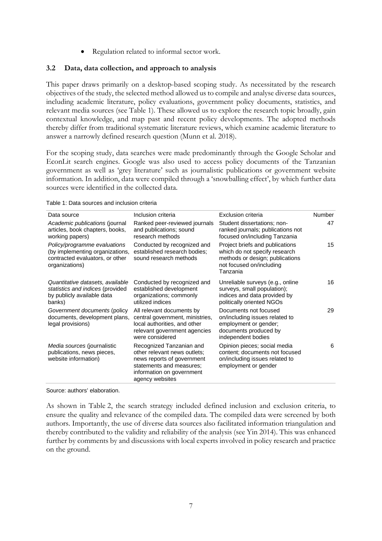• Regulation related to informal sector work.

#### **3.2 Data, data collection, and approach to analysis**

This paper draws primarily on a desktop-based scoping study. As necessitated by the research objectives of the study, the selected method allowed us to compile and analyse diverse data sources, including academic literature, policy evaluations, government policy documents, statistics, and relevant media sources (see Table 1). These allowed us to explore the research topic broadly, gain contextual knowledge, and map past and recent policy developments. The adopted methods thereby differ from traditional systematic literature reviews, which examine academic literature to answer a narrowly defined research question (Munn et al. 2018).

For the scoping study, data searches were made predominantly through the Google Scholar and EconLit search engines. Google was also used to access policy documents of the Tanzanian government as well as 'grey literature' such as journalistic publications or government website information. In addition, data were compiled through a 'snowballing effect', by which further data sources were identified in the collected data.

Table 1: Data sources and inclusion criteria

| Data source                                                                                                          | Inclusion criteria                                                                                                                                                 | Exclusion criteria                                                                                                                          | Number |
|----------------------------------------------------------------------------------------------------------------------|--------------------------------------------------------------------------------------------------------------------------------------------------------------------|---------------------------------------------------------------------------------------------------------------------------------------------|--------|
| Academic publications (journal<br>articles, book chapters, books,<br>working papers)                                 | Ranked peer-reviewed journals<br>and publications; sound<br>research methods                                                                                       | Student dissertations; non-<br>ranked journals; publications not<br>focused on/including Tanzania                                           | 47     |
| Policy/programme evaluations<br>(by implementing organizations,<br>contracted evaluators, or other<br>organizations) | Conducted by recognized and<br>established research bodies;<br>sound research methods                                                                              | Project briefs and publications<br>which do not specify research<br>methods or design; publications<br>not focused on/including<br>Tanzania | 15     |
| Quantitative datasets, available<br>statistics and indices (provided<br>by publicly available data<br>banks)         | Conducted by recognized and<br>established development<br>organizations; commonly<br>utilized indices                                                              | Unreliable surveys (e.g., online<br>surveys, small population);<br>indices and data provided by<br>politically oriented NGOs                | 16     |
| Government documents (policy<br>documents, development plans,<br>legal provisions)                                   | All relevant documents by<br>central government, ministries,<br>local authorities, and other<br>relevant government agencies<br>were considered                    | Documents not focused<br>on/including issues related to<br>employment or gender;<br>documents produced by<br>independent bodies             | 29     |
| Media sources (journalistic<br>publications, news pieces,<br>website information)                                    | Recognized Tanzanian and<br>other relevant news outlets;<br>news reports of government<br>statements and measures;<br>information on government<br>agency websites | Opinion pieces; social media<br>content; documents not focused<br>on/including issues related to<br>employment or gender                    | 6      |

Source: authors' elaboration.

As shown in Table 2, the search strategy included defined inclusion and exclusion criteria, to ensure the quality and relevance of the compiled data. The compiled data were screened by both authors. Importantly, the use of diverse data sources also facilitated information triangulation and thereby contributed to the validity and reliability of the analysis (see Yin 2014). This was enhanced further by comments by and discussions with local experts involved in policy research and practice on the ground.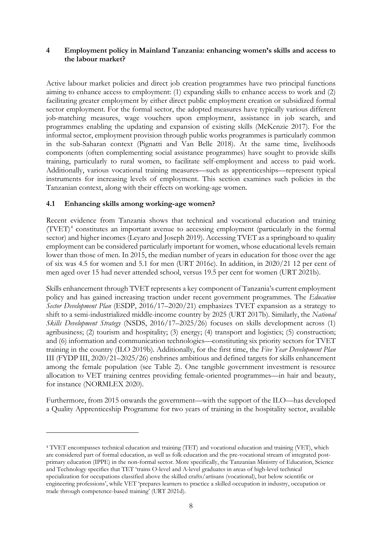## **4 Employment policy in Mainland Tanzania: enhancing women's skills and access to the labour market?**

Active labour market policies and direct job creation programmes have two principal functions aiming to enhance access to employment: (1) expanding skills to enhance access to work and (2) facilitating greater employment by either direct public employment creation or subsidized formal sector employment. For the formal sector, the adopted measures have typically various different job-matching measures, wage vouchers upon employment, assistance in job search, and programmes enabling the updating and expansion of existing skills (McKenzie 2017). For the informal sector, employment provision through public works programmes is particularly common in the sub-Saharan context (Pignatti and Van Belle 2018). At the same time, livelihoods components (often complementing social assistance programmes) have sought to provide skills training, particularly to rural women, to facilitate self-employment and access to paid work. Additionally, various vocational training measures—such as apprenticeships—represent typical instruments for increasing levels of employment. This section examines such policies in the Tanzanian context, along with their effects on working-age women.

## **4.1 Enhancing skills among working-age women?**

Recent evidence from Tanzania shows that technical and vocational education and training  $(TVET)^4$  $(TVET)^4$  constitutes an important avenue to accessing employment (particularly in the formal sector) and higher incomes (Leyaro and Joseph 2019). Accessing TVET as a springboard to quality employment can be considered particularly important for women, whose educational levels remain lower than those of men. In 2015, the median number of years in education for those over the age of six was 4.5 for women and 5.1 for men (URT 2016c). In addition, in 2020/21 12 per cent of men aged over 15 had never attended school, versus 19.5 per cent for women (URT 2021b).

Skills enhancement through TVET represents a key component of Tanzania's current employment policy and has gained increasing traction under recent government programmes. The *Education Sector Development Plan* (ESDP, 2016/17–2020/21) emphasizes TVET expansion as a strategy to shift to a semi-industrialized middle-income country by 2025 (URT 2017b). Similarly, the *National Skills Development Strategy* (NSDS, 2016/17–2025/26) focuses on skills development across (1) agribusiness; (2) tourism and hospitality; (3) energy; (4) transport and logistics; (5) construction; and (6) information and communication technologies—constituting six priority sectors for TVET training in the country (ILO 2019b). Additionally, for the first time, the *Five Year Development Plan*  III (FYDP III, 2020/21–2025/26) enshrines ambitious and defined targets for skills enhancement among the female population (see Table 2). One tangible government investment is resource allocation to VET training centres providing female-oriented programmes—in hair and beauty, for instance (NORMLEX 2020).

Furthermore, from 2015 onwards the government—with the support of the ILO—has developed a Quality Apprenticeship Programme for two years of training in the hospitality sector, available

<span id="page-9-0"></span><sup>4</sup> TVET encompasses technical education and training (TET) and vocational education and training (VET), which are considered part of formal education, as well as folk education and the pre-vocational stream of integrated postprimary education (IPPE) in the non-formal sector. More specifically, the Tanzanian Ministry of Education, Science and Technology specifies that TET 'trains O-level and A-level graduates in areas of high-level technical specialization for occupations classified above the skilled crafts/artisans (vocational), but below scientific or engineering professions', while VET 'prepares learners to practice a skilled occupation in industry, occupation or trade through competence-based training' (URT 2021d).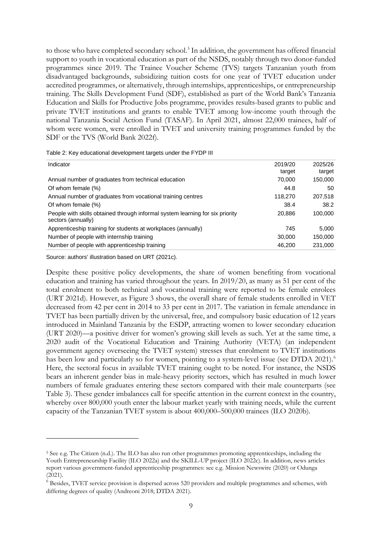to those who have completed secondary school.<sup>[5](#page-10-0)</sup> In addition, the government has offered financial support to youth in vocational education as part of the NSDS, notably through two donor-funded programmes since 2019. The Trainee Voucher Scheme (TVS) targets Tanzanian youth from disadvantaged backgrounds, subsidizing tuition costs for one year of TVET education under accredited programmes, or alternatively, through internships, apprenticeships, or entrepreneurship training. The Skills Development Fund (SDF), established as part of the World Bank's Tanzania Education and Skills for Productive Jobs programme, provides results-based grants to public and private TVET institutions and grants to enable TVET among low-income youth through the national Tanzania Social Action Fund (TASAF). In April 2021, almost 22,000 trainees, half of whom were women, were enrolled in TVET and university training programmes funded by the SDF or the TVS (World Bank 2022f).

| Indicator                                                                                           | 2019/20<br>target | 2025/26<br>target |
|-----------------------------------------------------------------------------------------------------|-------------------|-------------------|
| Annual number of graduates from technical education                                                 | 70,000            | 150,000           |
| Of whom female (%)                                                                                  | 44.8              | 50                |
| Annual number of graduates from vocational training centres                                         | 118,270           | 207,518           |
| Of whom female (%)                                                                                  | 38.4              | 38.2              |
| People with skills obtained through informal system learning for six priority<br>sectors (annually) | 20,886            | 100,000           |
| Apprenticeship training for students at workplaces (annually)                                       | 745               | 5,000             |
| Number of people with internship training                                                           | 30,000            | 150,000           |
| Number of people with apprenticeship training                                                       | 46,200            | 231,000           |
|                                                                                                     |                   |                   |

Table 2: Key educational development targets under the FYDP III

Source: authors' illustration based on URT (2021c).

Despite these positive policy developments, the share of women benefiting from vocational education and training has varied throughout the years. In 2019/20, as many as 51 per cent of the total enrolment to both technical and vocational training were reported to be female enrolees (URT 2021d). However, as Figure 3 shows, the overall share of female students enrolled in VET decreased from 42 per cent in 2014 to 33 per cent in 2017. The variation in female attendance in TVET has been partially driven by the universal, free, and compulsory basic education of 12 years introduced in Mainland Tanzania by the ESDP, attracting women to lower secondary education (URT 2020)—a positive driver for women's growing skill levels as such. Yet at the same time, a 2020 audit of the Vocational Education and Training Authority (VETA) (an independent government agency overseeing the TVET system) stresses that enrolment to TVET institutions has been low and particularly so for women, pointing to a system-level issue (see DTDA 2021).<sup>[6](#page-10-1)</sup> Here, the sectoral focus in available TVET training ought to be noted. For instance, the NSDS bears an inherent gender bias in male-heavy priority sectors, which has resulted in much lower numbers of female graduates entering these sectors compared with their male counterparts (see Table 3). These gender imbalances call for specific attention in the current context in the country, whereby over 800,000 youth enter the labour market yearly with training needs, while the current capacity of the Tanzanian TVET system is about 400,000–500,000 trainees (ILO 2020b).

<span id="page-10-0"></span><sup>5</sup> See e.g. The Citizen (n.d.). The ILO has also run other programmes promoting apprenticeships, including the Youth Entrepreneurship Facility (ILO 2022a) and the SKILL-UP project (ILO 2022c). In addition, news articles report various government-funded apprenticeship programmes: see e.g. Mission Newswire (2020) or Odunga  $(2021)$ .

<span id="page-10-1"></span><sup>&</sup>lt;sup>6</sup> Besides, TVET service provision is dispersed across 520 providers and multiple programmes and schemes, with differing degrees of quality (Andreoni 2018; DTDA 2021).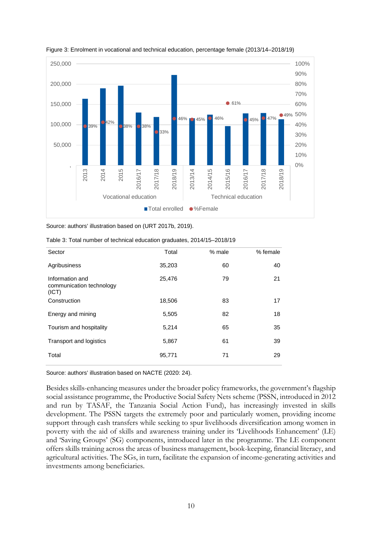



Source: authors' illustration based on (URT 2017b, 2019).

|  |  |  |  |  | Table 3: Total number of technical education graduates, 2014/15-2018/19 |
|--|--|--|--|--|-------------------------------------------------------------------------|
|--|--|--|--|--|-------------------------------------------------------------------------|

| Sector                                               | Total  | % male | % female |
|------------------------------------------------------|--------|--------|----------|
| Agribusiness                                         | 35,203 | 60     | 40       |
| Information and<br>communication technology<br>(ICT) | 25,476 | 79     | 21       |
| Construction                                         | 18,506 | 83     | 17       |
| Energy and mining                                    | 5,505  | 82     | 18       |
| Tourism and hospitality                              | 5,214  | 65     | 35       |
| Transport and logistics                              | 5,867  | 61     | 39       |
| Total                                                | 95,771 | 71     | 29       |

Source: authors' illustration based on NACTE (2020: 24).

Besides skills-enhancing measures under the broader policy frameworks, the government's flagship social assistance programme, the Productive Social Safety Nets scheme (PSSN, introduced in 2012 and run by TASAF, the Tanzania Social Action Fund), has increasingly invested in skills development. The PSSN targets the extremely poor and particularly women, providing income support through cash transfers while seeking to spur livelihoods diversification among women in poverty with the aid of skills and awareness training under its 'Livelihoods Enhancement' (LE) and 'Saving Groups' (SG) components, introduced later in the programme. The LE component offers skills training across the areas of business management, book-keeping, financial literacy, and agricultural activities. The SGs, in turn, facilitate the expansion of income-generating activities and investments among beneficiaries.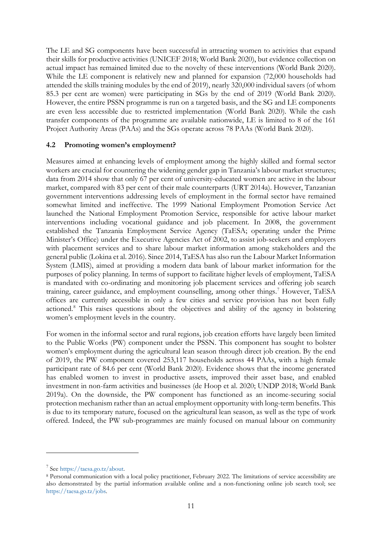The LE and SG components have been successful in attracting women to activities that expand their skills for productive activities (UNICEF 2018; World Bank 2020), but evidence collection on actual impact has remained limited due to the novelty of these interventions (World Bank 2020). While the LE component is relatively new and planned for expansion (72,000 households had attended the skills training modules by the end of 2019), nearly 320,000 individual savers (of whom 85.3 per cent are women) were participating in SGs by the end of 2019 (World Bank 2020). However, the entire PSSN programme is run on a targeted basis, and the SG and LE components are even less accessible due to restricted implementation (World Bank 2020). While the cash transfer components of the programme are available nationwide, LE is limited to 8 of the 161 Project Authority Areas (PAAs) and the SGs operate across 78 PAAs (World Bank 2020).

## **4.2 Promoting women's employment?**

Measures aimed at enhancing levels of employment among the highly skilled and formal sector workers are crucial for countering the widening gender gap in Tanzania's labour market structures; data from 2014 show that only 67 per cent of university-educated women are active in the labour market, compared with 83 per cent of their male counterparts (URT 2014a). However, Tanzanian government interventions addressing levels of employment in the formal sector have remained somewhat limited and ineffective. The 1999 National Employment Promotion Service Act launched the National Employment Promotion Service, responsible for active labour market interventions including vocational guidance and job placement. In 2008, the government established the Tanzania Employment Service Agency (TaESA; operating under the Prime Minister's Office) under the Executive Agencies Act of 2002, to assist job-seekers and employers with placement services and to share labour market information among stakeholders and the general public (Lokina et al. 2016). Since 2014, TaESA has also run the Labour Market Information System (LMIS), aimed at providing a modern data bank of labour market information for the purposes of policy planning. In terms of support to facilitate higher levels of employment, TaESA is mandated with co-ordinating and monitoring job placement services and offering job search training, career guidance, and employment counselling, among other things.<sup>[7](#page-12-0)</sup> However, TaESA offices are currently accessible in only a few cities and service provision has not been fully actioned.[8](#page-12-1) This raises questions about the objectives and ability of the agency in bolstering women's employment levels in the country.

For women in the informal sector and rural regions, job creation efforts have largely been limited to the Public Works (PW) component under the PSSN. This component has sought to bolster women's employment during the agricultural lean season through direct job creation. By the end of 2019, the PW component covered 253,117 households across 44 PAAs, with a high female participant rate of 84.6 per cent (World Bank 2020). Evidence shows that the income generated has enabled women to invest in productive assets, improved their asset base, and enabled investment in non-farm activities and businesses (de Hoop et al. 2020; UNDP 2018; World Bank 2019a). On the downside, the PW component has functioned as an income-securing social protection mechanism rather than an actual employment opportunity with long-term benefits. This is due to its temporary nature, focused on the agricultural lean season, as well as the type of work offered. Indeed, the PW sub-programmes are mainly focused on manual labour on community

<span id="page-12-0"></span><sup>7</sup> See [https://taesa.go.tz/about.](https://taesa.go.tz/about)

<span id="page-12-1"></span><sup>8</sup> Personal communication with a local policy practitioner, February 2022. The limitations of service accessibility are also demonstrated by the partial information available online and a non-functioning online job search tool; see [https://taesa.go.tz/jobs.](https://taesa.go.tz/jobs)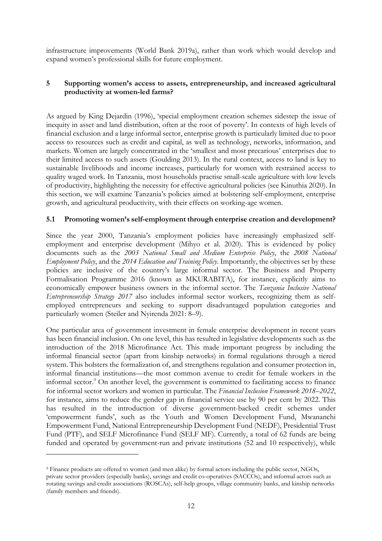infrastructure improvements (World Bank 2019a), rather than work which would develop and expand women's professional skills for future employment.

## **5 Supporting women's access to assets, entrepreneurship, and increased agricultural productivity at women-led farms?**

As argued by King Dejardin (1996), 'special employment creation schemes sidestep the issue of inequity in asset and land distribution, often at the root of poverty'. In contexts of high levels of financial exclusion and a large informal sector, enterprise growth is particularly limited due to poor access to resources such as credit and capital, as well as technology, networks, information, and markets. Women are largely concentrated in the 'smallest and most precarious' enterprises due to their limited access to such assets (Goulding 2013). In the rural context, access to land is key to sustainable livelihoods and income increases, particularly for women with restrained access to quality waged work. In Tanzania, most households practise small-scale agriculture with low levels of productivity, highlighting the necessity for effective agricultural policies (see Kinuthia 2020). In this section, we will examine Tanzania's policies aimed at bolstering self-employment, enterprise growth, and agricultural productivity, with their effects on working-age women.

## **5.1 Promoting women's self-employment through enterprise creation and development?**

Since the year 2000, Tanzania's employment policies have increasingly emphasized selfemployment and enterprise development (Mihyo et al. 2020). This is evidenced by policy documents such as the *2003 National Small and Medium Enterprise Policy*, the *2008 National Employment Policy*, and the *2014 Education and Training Policy*. Importantly, the objectives set by these policies are inclusive of the country's large informal sector. The Business and Property Formalisation Programme 2016 (known as MKURABITA), for instance, explicitly aims to economically empower business owners in the informal sector. The *Tanzania Inclusive National Entrepreneurship Strategy 2017* also includes informal sector workers, recognizing them as selfemployed entrepreneurs and seeking to support disadvantaged population categories and particularly women (Steiler and Nyirenda 2021: 8–9).

One particular area of government investment in female enterprise development in recent years has been financial inclusion. On one level, this has resulted in legislative developments such as the introduction of the 2018 Microfinance Act. This made important progress by including the informal financial sector (apart from kinship networks) in formal regulations through a tiered system. This bolsters the formalization of, and strengthens regulation and consumer protection in, informal financial institutions—the most common avenue to credit for female workers in the informal sector.<sup>[9](#page-13-0)</sup> On another level, the government is committed to facilitating access to finance for informal sector workers and women in particular. The *Financial Inclusion Framework 2018–2022*, for instance, aims to reduce the gender gap in financial service use by 90 per cent by 2022. This has resulted in the introduction of diverse government-backed credit schemes under 'empowerment funds', such as the Youth and Women Development Fund, Mwananchi Empowerment Fund, National Entrepreneurship Development Fund (NEDF), Presidential Trust Fund (PTF), and SELF Microfinance Fund (SELF MF). Currently, a total of 62 funds are being funded and operated by government-run and private institutions (52 and 10 respectively), while

<span id="page-13-0"></span><sup>9</sup> Finance products are offered to women (and men alike) by formal actors including the public sector, NGOs, private sector providers (especially banks), savings and credit co-operatives (SACCOs), and informal actors such as rotating savings and credit associations (ROSCAs), self-help groups, village community banks, and kinship networks (family members and friends).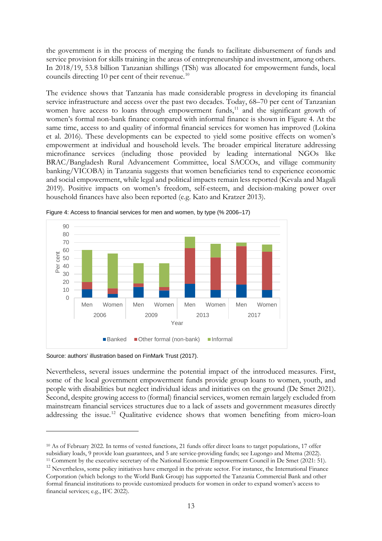the government is in the process of merging the funds to facilitate disbursement of funds and service provision for skills training in the areas of entrepreneurship and investment, among others. In 2018/19, 53.8 billion Tanzanian shillings (TSh) was allocated for empowerment funds, local councils directing [10](#page-14-0) per cent of their revenue.<sup>10</sup>

The evidence shows that Tanzania has made considerable progress in developing its financial service infrastructure and access over the past two decades. Today, 68–70 per cent of Tanzanian women have access to loans through empowerment funds,<sup>[11](#page-14-1)</sup> and the significant growth of women's formal non-bank finance compared with informal finance is shown in Figure 4. At the same time, access to and quality of informal financial services for women has improved (Lokina et al. 2016). These developments can be expected to yield some positive effects on women's empowerment at individual and household levels. The broader empirical literature addressing microfinance services (including those provided by leading international NGOs like BRAC/Bangladesh Rural Advancement Committee, local SACCOs, and village community banking/VICOBA) in Tanzania suggests that women beneficiaries tend to experience economic and social empowerment, while legal and political impacts remain less reported (Kevala and Magali 2019). Positive impacts on women's freedom, self-esteem, and decision-making power over household finances have also been reported (e.g. Kato and Kratzer 2013).



Figure 4: Access to financial services for men and women, by type (% 2006–17)

Source: authors' illustration based on FinMark Trust (2017).

Nevertheless, several issues undermine the potential impact of the introduced measures. First, some of the local government empowerment funds provide group loans to women, youth, and people with disabilities but neglect individual ideas and initiatives on the ground (De Smet 2021). Second, despite growing access to (formal) financial services, women remain largely excluded from mainstream financial services structures due to a lack of assets and government measures directly addressing the issue.[12](#page-14-2) Qualitative evidence shows that women benefiting from micro-loan

<span id="page-14-0"></span><sup>&</sup>lt;sup>10</sup> As of February 2022. In terms of vested functions, 21 funds offer direct loans to target populations, 17 offer subsidiary loads, 9 provide loan guarantees, and 5 are service-providing funds; see Lugongo and Mtema (2022).

<span id="page-14-1"></span><sup>&</sup>lt;sup>11</sup> Comment by the executive secretary of the National Economic Empowerment Council in De Smet (2021: 51).

<span id="page-14-2"></span><sup>&</sup>lt;sup>12</sup> Nevertheless, some policy initiatives have emerged in the private sector. For instance, the International Finance Corporation (which belongs to the World Bank Group) has supported the Tanzania Commercial Bank and other formal financial institutions to provide customized products for women in order to expand women's access to financial services; e.g., IFC 2022).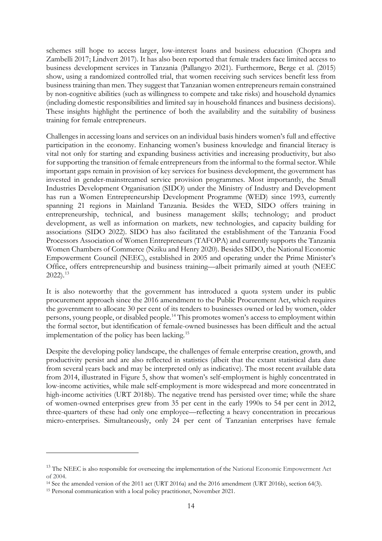schemes still hope to access larger, low-interest loans and business education (Chopra and Zambelli 2017; Lindvert 2017). It has also been reported that female traders face limited access to business development services in Tanzania (Pallangyo 2021). Furthermore, Berge et al. (2015) show, using a randomized controlled trial, that women receiving such services benefit less from business training than men. They suggest that Tanzanian women entrepreneurs remain constrained by non-cognitive abilities (such as willingness to compete and take risks) and household dynamics (including domestic responsibilities and limited say in household finances and business decisions). These insights highlight the pertinence of both the availability and the suitability of business training for female entrepreneurs.

Challenges in accessing loans and services on an individual basis hinders women's full and effective participation in the economy. Enhancing women's business knowledge and financial literacy is vital not only for starting and expanding business activities and increasing productivity, but also for supporting the transition of female entrepreneurs from the informal to the formal sector. While important gaps remain in provision of key services for business development, the government has invested in gender-mainstreamed service provision programmes. Most importantly, the Small Industries Development Organisation (SIDO) under the Ministry of Industry and Development has run a Women Entrepreneurship Development Programme (WED) since 1993, currently spanning 21 regions in Mainland Tanzania. Besides the WED, SIDO offers training in entrepreneurship, technical, and business management skills; technology; and product development, as well as information on markets, new technologies, and capacity building for associations (SIDO 2022). SIDO has also facilitated the establishment of the Tanzania Food Processors Association of Women Entrepreneurs (TAFOPA) and currently supports the Tanzania Women Chambers of Commerce (Nziku and Henry 2020). Besides SIDO, the National Economic Empowerment Council (NEEC), established in 2005 and operating under the Prime Minister's Office, offers entrepreneurship and business training—albeit primarily aimed at youth (NEEC 2022). [13](#page-15-0)

It is also noteworthy that the government has introduced a quota system under its public procurement approach since the 2016 amendment to the Public Procurement Act, which requires the government to allocate 30 per cent of its tenders to businesses owned or led by women, older persons, young people, or disabled people. [14](#page-15-1) This promotes women's access to employment within the formal sector, but identification of female-owned businesses has been difficult and the actual implementation of the policy has been lacking.<sup>[15](#page-15-2)</sup>

Despite the developing policy landscape, the challenges of female enterprise creation, growth, and productivity persist and are also reflected in statistics (albeit that the extant statistical data date from several years back and may be interpreted only as indicative). The most recent available data from 2014, illustrated in Figure 5, show that women's self-employment is highly concentrated in low-income activities, while male self-employment is more widespread and more concentrated in high-income activities (URT 2018b). The negative trend has persisted over time; while the share of women-owned enterprises grew from 35 per cent in the early 1990s to 54 per cent in 2012, three-quarters of these had only one employee—reflecting a heavy concentration in precarious micro-enterprises. Simultaneously, only 24 per cent of Tanzanian enterprises have female

<span id="page-15-0"></span><sup>&</sup>lt;sup>13</sup> The NEEC is also responsible for overseeing the implementation of the National Economic Empowerment Act of 2004.

<span id="page-15-1"></span><sup>&</sup>lt;sup>14</sup> See the amended version of the 2011 act (URT 2016a) and the 2016 amendment (URT 2016b), section 64(3).

<span id="page-15-2"></span><sup>15</sup> Personal communication with a local policy practitioner, November 2021.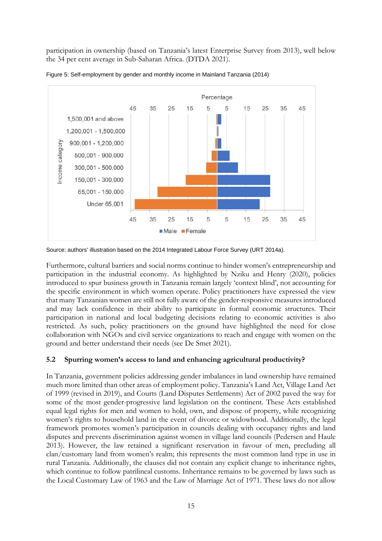participation in ownership (based on Tanzania's latest Enterprise Survey from 2013), well below the 34 per cent average in Sub-Saharan Africa. (DTDA 2021).



Figure 5: Self-employment by gender and monthly income in Mainland Tanzania (2014)

Furthermore, cultural barriers and social norms continue to hinder women's entrepreneurship and participation in the industrial economy. As highlighted by Nziku and Henry (2020), policies introduced to spur business growth in Tanzania remain largely 'context blind', not accounting for the specific environment in which women operate. Policy practitioners have expressed the view that many Tanzanian women are still not fully aware of the gender-responsive measures introduced and may lack confidence in their ability to participate in formal economic structures. Their participation in national and local budgeting decisions relating to economic activities is also restricted. As such, policy practitioners on the ground have highlighted the need for close collaboration with NGOs and civil service organizations to reach and engage with women on the ground and better understand their needs (see De Smet 2021).

# **5.2 Spurring women's access to land and enhancing agricultural productivity?**

In Tanzania, government policies addressing gender imbalances in land ownership have remained much more limited than other areas of employment policy. Tanzania's Land Act, Village Land Act of 1999 (revised in 2019), and Courts (Land Disputes Settlements) Act of 2002 paved the way for some of the most gender-progressive land legislation on the continent. These Acts established equal legal rights for men and women to hold, own, and dispose of property, while recognizing women's rights to household land in the event of divorce or widowhood. Additionally, the legal framework promotes women's participation in councils dealing with occupancy rights and land disputes and prevents discrimination against women in village land councils (Pedersen and Haule 2013). However, the law retained a significant reservation in favour of men, precluding all clan/customary land from women's realm; this represents the most common land type in use in rural Tanzania. Additionally, the clauses did not contain any explicit change to inheritance rights, which continue to follow patrilineal customs. Inheritance remains to be governed by laws such as the Local Customary Law of 1963 and the Law of Marriage Act of 1971. These laws do not allow

Source: authors' illustration based on the 2014 Integrated Labour Force Survey (URT 2014a).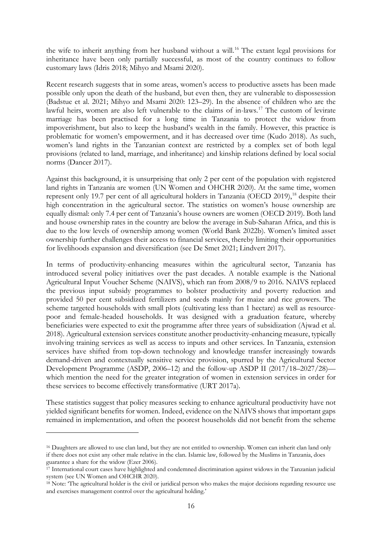the wife to inherit anything from her husband without a will.<sup>[16](#page-17-0)</sup> The extant legal provisions for inheritance have been only partially successful, as most of the country continues to follow customary laws (Idris 2018; Mihyo and Msami 2020).

Recent research suggests that in some areas, women's access to productive assets has been made possible only upon the death of the husband, but even then, they are vulnerable to dispossession (Badstue et al. 2021; Mihyo and Msami 2020: 123–29). In the absence of children who are the lawful heirs, women are also left vulnerable to the claims of in-laws.<sup>[17](#page-17-1)</sup> The custom of levirate marriage has been practised for a long time in Tanzania to protect the widow from impoverishment, but also to keep the husband's wealth in the family. However, this practice is problematic for women's empowerment, and it has decreased over time (Kudo 2018). As such, women's land rights in the Tanzanian context are restricted by a complex set of both legal provisions (related to land, marriage, and inheritance) and kinship relations defined by local social norms (Dancer 2017).

Against this background, it is unsurprising that only 2 per cent of the population with registered land rights in Tanzania are women (UN Women and OHCHR 2020). At the same time, women represent only 19.7 per cent of all agricultural holders in Tanzania (OECD 2019),<sup>[18](#page-17-2)</sup> despite their high concentration in the agricultural sector. The statistics on women's house ownership are equally dismal: only 7.4 per cent of Tanzania's house owners are women (OECD 2019). Both land and house ownership rates in the country are below the average in Sub-Saharan Africa, and this is due to the low levels of ownership among women (World Bank 2022b). Women's limited asset ownership further challenges their access to financial services, thereby limiting their opportunities for livelihoods expansion and diversification (see De Smet 2021; Lindvert 2017).

In terms of productivity-enhancing measures within the agricultural sector, Tanzania has introduced several policy initiatives over the past decades. A notable example is the National Agricultural Input Voucher Scheme (NAIVS), which ran from 2008/9 to 2016. NAIVS replaced the previous input subsidy programmes to bolster productivity and poverty reduction and provided 50 per cent subsidized fertilizers and seeds mainly for maize and rice growers. The scheme targeted households with small plots (cultivating less than 1 hectare) as well as resourcepoor and female-headed households. It was designed with a graduation feature, whereby beneficiaries were expected to exit the programme after three years of subsidization (Ajwad et al. 2018). Agricultural extension services constitute another productivity-enhancing measure, typically involving training services as well as access to inputs and other services. In Tanzania, extension services have shifted from top-down technology and knowledge transfer increasingly towards demand-driven and contextually sensitive service provision, spurred by the Agricultural Sector Development Programme (ASDP, 2006–12) and the follow-up ASDP II (2017/18–2027/28) which mention the need for the greater integration of women in extension services in order for these services to become effectively transformative (URT 2017a).

These statistics suggest that policy measures seeking to enhance agricultural productivity have not yielded significant benefits for women. Indeed, evidence on the NAIVS shows that important gaps remained in implementation, and often the poorest households did not benefit from the scheme

<span id="page-17-0"></span><sup>&</sup>lt;sup>16</sup> Daughters are allowed to use clan land, but they are not entitled to ownership. Women can inherit clan land only if there does not exist any other male relative in the clan. Islamic law, followed by the Muslims in Tanzania, does guarantee a share for the widow (Ezer 2006).

<span id="page-17-1"></span><sup>&</sup>lt;sup>17</sup> International court cases have highlighted and condemned discrimination against widows in the Tanzanian judicial system (see UN Women and OHCHR 2020).

<span id="page-17-2"></span><sup>&</sup>lt;sup>18</sup> Note: <sup>*The agricultural holder is the civil or juridical person who makes the major decisions regarding resource use*</sup> and exercises management control over the agricultural holding.'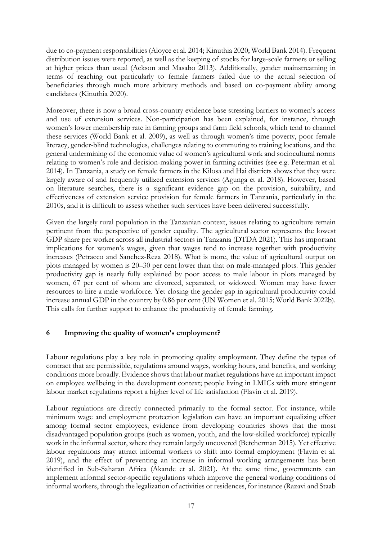due to co-payment responsibilities (Aloyce et al. 2014; Kinuthia 2020; World Bank 2014). Frequent distribution issues were reported, as well as the keeping of stocks for large-scale farmers or selling at higher prices than usual (Ackson and Masabo 2013). Additionally, gender mainstreaming in terms of reaching out particularly to female farmers failed due to the actual selection of beneficiaries through much more arbitrary methods and based on co-payment ability among candidates (Kinuthia 2020).

Moreover, there is now a broad cross-country evidence base stressing barriers to women's access and use of extension services. Non-participation has been explained, for instance, through women's lower membership rate in farming groups and farm field schools, which tend to channel these services (World Bank et al. 2009), as well as through women's time poverty, poor female literacy, gender-blind technologies, challenges relating to commuting to training locations, and the general undermining of the economic value of women's agricultural work and sociocultural norms relating to women's role and decision-making power in farming activities (see e.g. Peterman et al. 2014). In Tanzania, a study on female farmers in the Kilosa and Hai districts shows that they were largely aware of and frequently utilized extension services (Agunga et al. 2018). However, based on literature searches, there is a significant evidence gap on the provision, suitability, and effectiveness of extension service provision for female farmers in Tanzania, particularly in the 2010s, and it is difficult to assess whether such services have been delivered successfully.

Given the largely rural population in the Tanzanian context, issues relating to agriculture remain pertinent from the perspective of gender equality. The agricultural sector represents the lowest GDP share per worker across all industrial sectors in Tanzania (DTDA 2021). This has important implications for women's wages, given that wages tend to increase together with productivity increases (Petracco and Sanchez-Reza 2018). What is more, the value of agricultural output on plots managed by women is 20–30 per cent lower than that on male-managed plots. This gender productivity gap is nearly fully explained by poor access to male labour in plots managed by women, 67 per cent of whom are divorced, separated, or widowed. Women may have fewer resources to hire a male workforce. Yet closing the gender gap in agricultural productivity could increase annual GDP in the country by 0.86 per cent (UN Women et al. 2015; World Bank 2022b). This calls for further support to enhance the productivity of female farming.

## **6 Improving the quality of women's employment?**

Labour regulations play a key role in promoting quality employment. They define the types of contract that are permissible, regulations around wages, working hours, and benefits, and working conditions more broadly. Evidence shows that labour market regulations have an important impact on employee wellbeing in the development context; people living in LMICs with more stringent labour market regulations report a higher level of life satisfaction (Flavin et al. 2019).

Labour regulations are directly connected primarily to the formal sector. For instance, while minimum wage and employment protection legislation can have an important equalizing effect among formal sector employees, evidence from developing countries shows that the most disadvantaged population groups (such as women, youth, and the low-skilled workforce) typically work in the informal sector, where they remain largely uncovered (Betcherman 2015). Yet effective labour regulations may attract informal workers to shift into formal employment (Flavin et al. 2019), and the effect of preventing an increase in informal working arrangements has been identified in Sub-Saharan Africa (Akande et al. 2021). At the same time, governments can implement informal sector-specific regulations which improve the general working conditions of informal workers, through the legalization of activities or residences, for instance (Razavi and Staab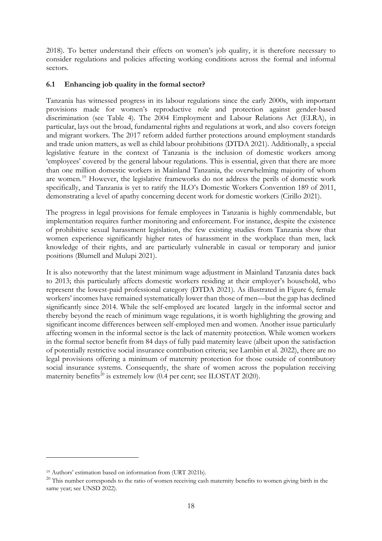2018). To better understand their effects on women's job quality, it is therefore necessary to consider regulations and policies affecting working conditions across the formal and informal sectors.

## **6.1 Enhancing job quality in the formal sector?**

Tanzania has witnessed progress in its labour regulations since the early 2000s, with important provisions made for women's reproductive role and protection against gender-based discrimination (see Table 4). The 2004 Employment and Labour Relations Act (ELRA), in particular, lays out the broad, fundamental rights and regulations at work, and also covers foreign and migrant workers. The 2017 reform added further protections around employment standards and trade union matters, as well as child labour prohibitions (DTDA 2021). Additionally, a special legislative feature in the context of Tanzania is the inclusion of domestic workers among 'employees' covered by the general labour regulations. This is essential, given that there are more than one million domestic workers in Mainland Tanzania, the overwhelming majority of whom are women.<sup>[19](#page-19-0)</sup> However, the legislative frameworks do not address the perils of domestic work specifically, and Tanzania is yet to ratify the ILO's Domestic Workers Convention 189 of 2011, demonstrating a level of apathy concerning decent work for domestic workers (Cirillo 2021).

The progress in legal provisions for female employees in Tanzania is highly commendable, but implementation requires further monitoring and enforcement. For instance, despite the existence of prohibitive sexual harassment legislation, the few existing studies from Tanzania show that women experience significantly higher rates of harassment in the workplace than men, lack knowledge of their rights, and are particularly vulnerable in casual or temporary and junior positions (Blumell and Mulupi 2021).

It is also noteworthy that the latest minimum wage adjustment in Mainland Tanzania dates back to 2013; this particularly affects domestic workers residing at their employer's household, who represent the lowest-paid professional category (DTDA 2021). As illustrated in Figure 6, female workers' incomes have remained systematically lower than those of men—but the gap has declined significantly since 2014. While the self-employed are located largely in the informal sector and thereby beyond the reach of minimum wage regulations, it is worth highlighting the growing and significant income differences between self-employed men and women. Another issue particularly affecting women in the informal sector is the lack of maternity protection. While women workers in the formal sector benefit from 84 days of fully paid maternity leave (albeit upon the satisfaction of potentially restrictive social insurance contribution criteria; see Lambin et al. 2022), there are no legal provisions offering a minimum of maternity protection for those outside of contributory social insurance systems. Consequently, the share of women across the population receiving maternity benefits<sup>[20](#page-19-1)</sup> is extremely low  $(0.4$  per cent; see ILOSTAT 2020).

<span id="page-19-0"></span><sup>19</sup> Authors' estimation based on information from (URT 2021b).

<span id="page-19-1"></span><sup>&</sup>lt;sup>20</sup> This number corresponds to the ratio of women receiving cash maternity benefits to women giving birth in the same year; see UNSD 2022).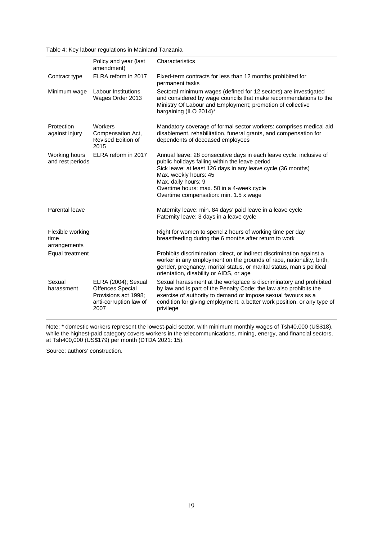Table 4: Key labour regulations in Mainland Tanzania

|                                          | Policy and year (last<br>amendment)                                                                      | Characteristics                                                                                                                                                                                                                                                                                                               |
|------------------------------------------|----------------------------------------------------------------------------------------------------------|-------------------------------------------------------------------------------------------------------------------------------------------------------------------------------------------------------------------------------------------------------------------------------------------------------------------------------|
| Contract type                            | ELRA reform in 2017                                                                                      | Fixed-term contracts for less than 12 months prohibited for<br>permanent tasks                                                                                                                                                                                                                                                |
| Minimum wage                             | <b>Labour Institutions</b><br>Wages Order 2013                                                           | Sectoral minimum wages (defined for 12 sectors) are investigated<br>and considered by wage councils that make recommendations to the<br>Ministry Of Labour and Employment; promotion of collective<br>bargaining (ILO 2014)*                                                                                                  |
| Protection<br>against injury             | Workers<br>Compensation Act,<br>Revised Edition of<br>2015                                               | Mandatory coverage of formal sector workers: comprises medical aid,<br>disablement, rehabilitation, funeral grants, and compensation for<br>dependents of deceased employees                                                                                                                                                  |
| Working hours<br>and rest periods        | ELRA reform in 2017                                                                                      | Annual leave: 28 consecutive days in each leave cycle, inclusive of<br>public holidays falling within the leave period<br>Sick leave: at least 126 days in any leave cycle (36 months)<br>Max. weekly hours: 45<br>Max. daily hours: 9<br>Overtime hours: max. 50 in a 4-week cycle<br>Overtime compensation: min. 1.5 x wage |
| Parental leave                           |                                                                                                          | Maternity leave: min. 84 days' paid leave in a leave cycle<br>Paternity leave: 3 days in a leave cycle                                                                                                                                                                                                                        |
| Flexible working<br>time<br>arrangements |                                                                                                          | Right for women to spend 2 hours of working time per day<br>breastfeeding during the 6 months after return to work                                                                                                                                                                                                            |
| Equal treatment                          |                                                                                                          | Prohibits discrimination: direct, or indirect discrimination against a<br>worker in any employment on the grounds of race, nationality, birth,<br>gender, pregnancy, marital status, or marital status, man's political<br>orientation, disability or AIDS, or age                                                            |
| Sexual<br>harassment                     | ELRA (2004); Sexual<br><b>Offences Special</b><br>Provisions act 1998;<br>anti-corruption law of<br>2007 | Sexual harassment at the workplace is discriminatory and prohibited<br>by law and is part of the Penalty Code; the law also prohibits the<br>exercise of authority to demand or impose sexual favours as a<br>condition for giving employment, a better work position, or any type of<br>privilege                            |

Note: \* domestic workers represent the lowest-paid sector, with minimum monthly wages of Tsh40,000 (US\$18), while the highest-paid category covers workers in the telecommunications, mining, energy, and financial sectors, at Tsh400,000 (US\$179) per month (DTDA 2021: 15).

Source: authors' construction.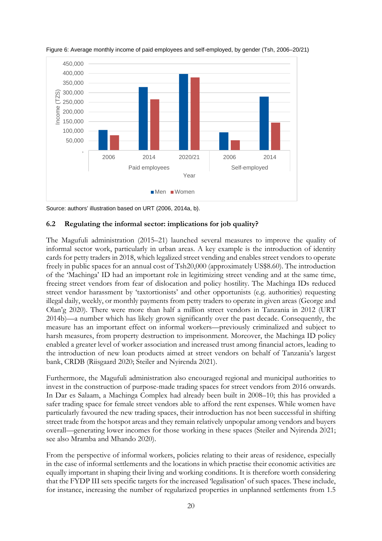

Figure 6: Average monthly income of paid employees and self-employed, by gender (Tsh, 2006–20/21)

Source: authors' illustration based on URT (2006, 2014a, b).

#### **6.2 Regulating the informal sector: implications for job quality?**

The Magufuli administration (2015–21) launched several measures to improve the quality of informal sector work, particularly in urban areas. A key example is the introduction of identity cards for petty traders in 2018, which legalized street vending and enables street vendors to operate freely in public spaces for an annual cost of Tsh20,000 (approximately US\$8.60). The introduction of the 'Machinga' ID had an important role in legitimizing street vending and at the same time, freeing street vendors from fear of dislocation and policy hostility. The Machinga IDs reduced street vendor harassment by 'taxtortionists' and other opportunists (e.g. authorities) requesting illegal daily, weekly, or monthly payments from petty traders to operate in given areas (George and Olan'g 2020). There were more than half a million street vendors in Tanzania in 2012 (URT 2014b)—a number which has likely grown significantly over the past decade. Consequently, the measure has an important effect on informal workers—previously criminalized and subject to harsh measures, from property destruction to imprisonment. Moreover, the Machinga ID policy enabled a greater level of worker association and increased trust among financial actors, leading to the introduction of new loan products aimed at street vendors on behalf of Tanzania's largest bank, CRDB (Riisgaard 2020; Steiler and Nyirenda 2021).

Furthermore, the Magufuli administration also encouraged regional and municipal authorities to invest in the construction of purpose-made trading spaces for street vendors from 2016 onwards. In Dar es Salaam, a Machinga Complex had already been built in 2008–10; this has provided a safer trading space for female street vendors able to afford the rent expenses. While women have particularly favoured the new trading spaces, their introduction has not been successful in shifting street trade from the hotspot areas and they remain relatively unpopular among vendors and buyers overall—generating lower incomes for those working in these spaces (Steiler and Nyirenda 2021; see also Mramba and Mhando 2020).

From the perspective of informal workers, policies relating to their areas of residence, especially in the case of informal settlements and the locations in which practise their economic activities are equally important in shaping their living and working conditions. It is therefore worth considering that the FYDP III sets specific targets for the increased 'legalisation' of such spaces. These include, for instance, increasing the number of regularized properties in unplanned settlements from 1.5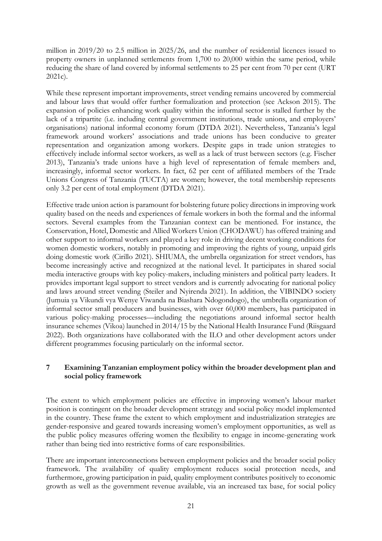million in 2019/20 to 2.5 million in 2025/26, and the number of residential licences issued to property owners in unplanned settlements from 1,700 to 20,000 within the same period, while reducing the share of land covered by informal settlements to 25 per cent from 70 per cent (URT 2021c).

While these represent important improvements, street vending remains uncovered by commercial and labour laws that would offer further formalization and protection (see Ackson 2015). The expansion of policies enhancing work quality within the informal sector is stalled further by the lack of a tripartite (i.e. including central government institutions, trade unions, and employers' organisations) national informal economy forum (DTDA 2021). Nevertheless, Tanzania's legal framework around workers' associations and trade unions has been conducive to greater representation and organization among workers. Despite gaps in trade union strategies to effectively include informal sector workers, as well as a lack of trust between sectors (e.g. Fischer 2013), Tanzania's trade unions have a high level of representation of female members and, increasingly, informal sector workers. In fact, 62 per cent of affiliated members of the Trade Unions Congress of Tanzania (TUCTA) are women; however, the total membership represents only 3.2 per cent of total employment (DTDA 2021).

Effective trade union action is paramount for bolstering future policy directions in improving work quality based on the needs and experiences of female workers in both the formal and the informal sectors. Several examples from the Tanzanian context can be mentioned. For instance, the Conservation, Hotel, Domestic and Allied Workers Union (CHODAWU) has offered training and other support to informal workers and played a key role in driving decent working conditions for women domestic workers, notably in promoting and improving the rights of young, unpaid girls doing domestic work (Cirillo 2021). SHIUMA, the umbrella organization for street vendors, has become increasingly active and recognized at the national level. It participates in shared social media interactive groups with key policy-makers, including ministers and political party leaders. It provides important legal support to street vendors and is currently advocating for national policy and laws around street vending (Steiler and Nyirenda 2021). In addition, the VIBINDO society (Jumuia ya Vikundi vya Wenye Viwanda na Biashara Ndogondogo), the umbrella organization of informal sector small producers and businesses, with over 60,000 members, has participated in various policy-making processes—including the negotiations around informal sector health insurance schemes (Vikoa) launched in 2014/15 by the National Health Insurance Fund (Riisgaard 2022). Both organizations have collaborated with the ILO and other development actors under different programmes focusing particularly on the informal sector.

## **7 Examining Tanzanian employment policy within the broader development plan and social policy framework**

The extent to which employment policies are effective in improving women's labour market position is contingent on the broader development strategy and social policy model implemented in the country. These frame the extent to which employment and industrialization strategies are gender-responsive and geared towards increasing women's employment opportunities, as well as the public policy measures offering women the flexibility to engage in income-generating work rather than being tied into restrictive forms of care responsibilities.

There are important interconnections between employment policies and the broader social policy framework. The availability of quality employment reduces social protection needs, and furthermore, growing participation in paid, quality employment contributes positively to economic growth as well as the government revenue available, via an increased tax base, for social policy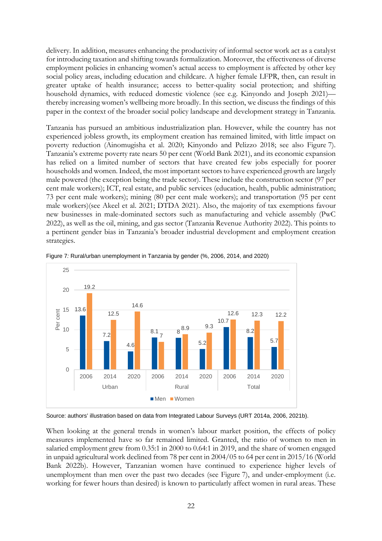delivery. In addition, measures enhancing the productivity of informal sector work act as a catalyst for introducing taxation and shifting towards formalization. Moreover, the effectiveness of diverse employment policies in enhancing women's actual access to employment is affected by other key social policy areas, including education and childcare. A higher female LFPR, then, can result in greater uptake of health insurance; access to better-quality social protection; and shifting household dynamics, with reduced domestic violence (see e.g. Kinyondo and Joseph 2021) thereby increasing women's wellbeing more broadly. In this section, we discuss the findings of this paper in the context of the broader social policy landscape and development strategy in Tanzania.

Tanzania has pursued an ambitious industrialization plan. However, while the country has not experienced jobless growth, its employment creation has remained limited, with little impact on poverty reduction (Ainomugisha et al. 2020; Kinyondo and Pelizzo 2018; see also Figure 7). Tanzania's extreme poverty rate nears 50 per cent (World Bank 2021), and its economic expansion has relied on a limited number of sectors that have created few jobs especially for poorer households and women. Indeed, the most important sectors to have experienced growth are largely male powered (the exception being the trade sector). These include the construction sector (97 per cent male workers); ICT, real estate, and public services (education, health, public administration; 73 per cent male workers); mining (80 per cent male workers); and transportation (95 per cent male workers)(see Akeel et al. 2021; DTDA 2021). Also, the majority of tax exemptions favour new businesses in male-dominated sectors such as manufacturing and vehicle assembly (PwC 2022), as well as the oil, mining, and gas sector (Tanzania Revenue Authority 2022). This points to a pertinent gender bias in Tanzania's broader industrial development and employment creation strategies.



Figure 7*:* Rural/urban unemployment in Tanzania by gender (%, 2006, 2014, and 2020)

Source: authors' illustration based on data from Integrated Labour Surveys (URT 2014a, 2006, 2021b).

When looking at the general trends in women's labour market position, the effects of policy measures implemented have so far remained limited. Granted, the ratio of women to men in salaried employment grew from 0.35:1 in 2000 to 0.64:1 in 2019, and the share of women engaged in unpaid agricultural work declined from 78 per cent in 2004/05 to 64 per cent in 2015/16 (World Bank 2022b). However, Tanzanian women have continued to experience higher levels of unemployment than men over the past two decades (see Figure 7), and under-employment (i.e. working for fewer hours than desired) is known to particularly affect women in rural areas. These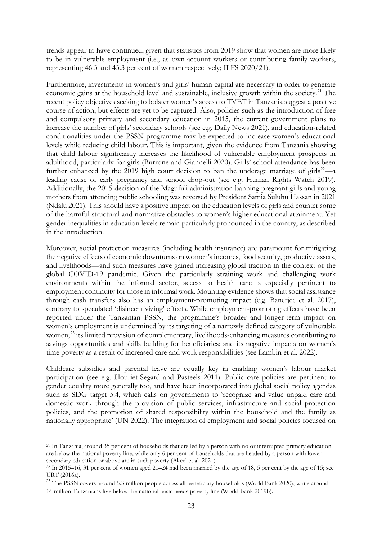trends appear to have continued, given that statistics from 2019 show that women are more likely to be in vulnerable employment (i.e., as own-account workers or contributing family workers, representing 46.3 and 43.3 per cent of women respectively; ILFS 2020/21).

Furthermore, investments in women's and girls' human capital are necessary in order to generate economic gains at the household level and sustainable, inclusive growth within the society.<sup>[21](#page-24-0)</sup> The recent policy objectives seeking to bolster women's access to TVET in Tanzania suggest a positive course of action, but effects are yet to be captured. Also, policies such as the introduction of free and compulsory primary and secondary education in 2015, the current government plans to increase the number of girls' secondary schools (see e.g. Daily News 2021), and education-related conditionalities under the PSSN programme may be expected to increase women's educational levels while reducing child labour. This is important, given the evidence from Tanzania showing that child labour significantly increases the likelihood of vulnerable employment prospects in adulthood, particularly for girls (Burrone and Giannelli 2020). Girls' school attendance has been further enhanced by the 2019 high court decision to ban the underage marriage of girls<sup>[22](#page-24-1)</sup>—a leading cause of early pregnancy and school drop-out (see e.g. Human Rights Watch 2019). Additionally, the 2015 decision of the Magufuli administration banning pregnant girls and young mothers from attending public schooling was reversed by President Samia Suluhu Hassan in 2021 (Ndalu 2021). This should have a positive impact on the education levels of girls and counter some of the harmful structural and normative obstacles to women's higher educational attainment. Yet gender inequalities in education levels remain particularly pronounced in the country, as described in the introduction.

Moreover, social protection measures (including health insurance) are paramount for mitigating the negative effects of economic downturns on women's incomes, food security, productive assets, and livelihoods—and such measures have gained increasing global traction in the context of the global COVID-19 pandemic. Given the particularly straining work and challenging work environments within the informal sector, access to health care is especially pertinent to employment continuity for those in informal work. Mounting evidence shows that social assistance through cash transfers also has an employment-promoting impact (e.g. Banerjee et al. 2017), contrary to speculated 'disincentivizing' effects. While employment-promoting effects have been reported under the Tanzanian PSSN, the programme's broader and longer-term impact on women's employment is undermined by its targeting of a narrowly defined category of vulnerable women; [23](#page-24-2) its limited provision of complementary, livelihoods-enhancing measures contributing to savings opportunities and skills building for beneficiaries; and its negative impacts on women's time poverty as a result of increased care and work responsibilities (see Lambin et al. 2022).

Childcare subsidies and parental leave are equally key in enabling women's labour market participation (see e.g. Houriet-Segard and Pasteels 2011). Public care policies are pertinent to gender equality more generally too, and have been incorporated into global social policy agendas such as SDG target 5.4, which calls on governments to 'recognize and value unpaid care and domestic work through the provision of public services, infrastructure and social protection policies, and the promotion of shared responsibility within the household and the family as nationally appropriate' (UN 2022). The integration of employment and social policies focused on

<span id="page-24-0"></span><sup>&</sup>lt;sup>21</sup> In Tanzania, around 35 per cent of households that are led by a person with no or interrupted primary education are below the national poverty line, while only 6 per cent of households that are headed by a person with lower secondary education or above are in such poverty (Akeel et al. 2021).

<span id="page-24-1"></span><sup>&</sup>lt;sup>22</sup> In 2015–16, 31 per cent of women aged  $20-24$  had been married by the age of 18, 5 per cent by the age of 15; see URT (2016a).

<span id="page-24-2"></span><sup>&</sup>lt;sup>23</sup> The PSSN covers around 5.3 million people across all beneficiary households (World Bank 2020), while around 14 million Tanzanians live below the national basic needs poverty line (World Bank 2019b).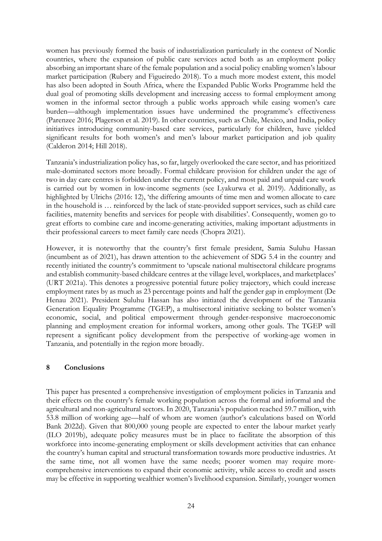women has previously formed the basis of industrialization particularly in the context of Nordic countries, where the expansion of public care services acted both as an employment policy absorbing an important share of the female population and a social policy enabling women's labour market participation (Rubery and Figueiredo 2018). To a much more modest extent, this model has also been adopted in South Africa, where the Expanded Public Works Programme held the dual goal of promoting skills development and increasing access to formal employment among women in the informal sector through a public works approach while easing women's care burden—although implementation issues have undermined the programme's effectiveness (Parenzee 2016; Plagerson et al. 2019). In other countries, such as Chile, Mexico, and India, policy initiatives introducing community-based care services, particularly for children, have yielded significant results for both women's and men's labour market participation and job quality (Calderon 2014; Hill 2018).

Tanzania's industrialization policy has, so far, largely overlooked the care sector, and has prioritized male-dominated sectors more broadly. Formal childcare provision for children under the age of two in day care centres is forbidden under the current policy, and most paid and unpaid care work is carried out by women in low-income segments (see Lyakurwa et al. 2019). Additionally, as highlighted by Ulrichs (2016: 12), 'the differing amounts of time men and women allocate to care in the household is … reinforced by the lack of state-provided support services, such as child care facilities, maternity benefits and services for people with disabilities'. Consequently, women go to great efforts to combine care and income-generating activities, making important adjustments in their professional careers to meet family care needs (Chopra 2021).

However, it is noteworthy that the country's first female president, Samia Suluhu Hassan (incumbent as of 2021), has drawn attention to the achievement of SDG 5.4 in the country and recently initiated the country's commitment to 'upscale national multisectoral childcare programs and establish community-based childcare centres at the village level, workplaces, and marketplaces' (URT 2021a). This denotes a progressive potential future policy trajectory, which could increase employment rates by as much as 23 percentage points and half the gender gap in employment (De Henau 2021). President Suluhu Hassan has also initiated the development of the Tanzania Generation Equality Programme (TGEP), a multisectoral initiative seeking to bolster women's economic, social, and political empowerment through gender-responsive macroeconomic planning and employment creation for informal workers, among other goals. The TGEP will represent a significant policy development from the perspective of working-age women in Tanzania, and potentially in the region more broadly.

## **8 Conclusions**

This paper has presented a comprehensive investigation of employment policies in Tanzania and their effects on the country's female working population across the formal and informal and the agricultural and non-agricultural sectors. In 2020, Tanzania's population reached 59.7 million, with 53.8 million of working age—half of whom are women (author's calculations based on World Bank 2022d). Given that 800,000 young people are expected to enter the labour market yearly (ILO 2019b), adequate policy measures must be in place to facilitate the absorption of this workforce into income-generating employment or skills development activities that can enhance the country's human capital and structural transformation towards more productive industries. At the same time, not all women have the same needs; poorer women may require morecomprehensive interventions to expand their economic activity, while access to credit and assets may be effective in supporting wealthier women's livelihood expansion. Similarly, younger women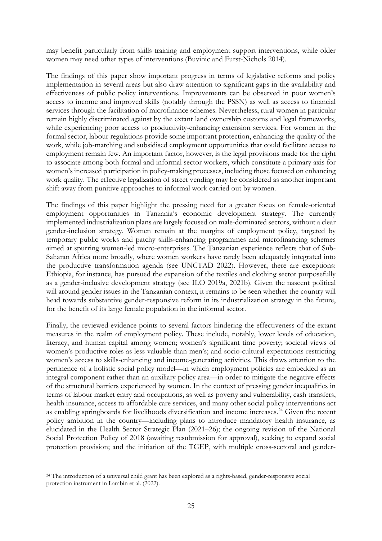may benefit particularly from skills training and employment support interventions, while older women may need other types of interventions (Buvinic and Furst-Nichols 2014).

The findings of this paper show important progress in terms of legislative reforms and policy implementation in several areas but also draw attention to significant gaps in the availability and effectiveness of public policy interventions. Improvements can be observed in poor women's access to income and improved skills (notably through the PSSN) as well as access to financial services through the facilitation of microfinance schemes. Nevertheless, rural women in particular remain highly discriminated against by the extant land ownership customs and legal frameworks, while experiencing poor access to productivity-enhancing extension services. For women in the formal sector, labour regulations provide some important protection, enhancing the quality of the work, while job-matching and subsidised employment opportunities that could facilitate access to employment remain few. An important factor, however, is the legal provisions made for the right to associate among both formal and informal sector workers, which constitute a primary axis for women's increased participation in policy-making processes, including those focused on enhancing work quality. The effective legalization of street vending may be considered as another important shift away from punitive approaches to informal work carried out by women.

The findings of this paper highlight the pressing need for a greater focus on female-oriented employment opportunities in Tanzania's economic development strategy. The currently implemented industrialization plans are largely focused on male-dominated sectors, without a clear gender-inclusion strategy. Women remain at the margins of employment policy, targeted by temporary public works and patchy skills-enhancing programmes and microfinancing schemes aimed at spurring women-led micro-enterprises. The Tanzanian experience reflects that of Sub-Saharan Africa more broadly, where women workers have rarely been adequately integrated into the productive transformation agenda (see UNCTAD 2022). However, there are exceptions: Ethiopia, for instance, has pursued the expansion of the textiles and clothing sector purposefully as a gender-inclusive development strategy (see ILO 2019a, 2021b). Given the nascent political will around gender issues in the Tanzanian context, it remains to be seen whether the country will head towards substantive gender-responsive reform in its industrialization strategy in the future, for the benefit of its large female population in the informal sector.

Finally, the reviewed evidence points to several factors hindering the effectiveness of the extant measures in the realm of employment policy. These include, notably, lower levels of education, literacy, and human capital among women; women's significant time poverty; societal views of women's productive roles as less valuable than men's; and socio-cultural expectations restricting women's access to skills-enhancing and income-generating activities. This draws attention to the pertinence of a holistic social policy model—in which employment policies are embedded as an integral component rather than an auxiliary policy area—in order to mitigate the negative effects of the structural barriers experienced by women. In the context of pressing gender inequalities in terms of labour market entry and occupations, as well as poverty and vulnerability, cash transfers, health insurance, access to affordable care services, and many other social policy interventions act as enabling springboards for livelihoods diversification and income increases.<sup>[24](#page-26-0)</sup> Given the recent policy ambition in the country—including plans to introduce mandatory health insurance, as elucidated in the Health Sector Strategic Plan (2021–26); the ongoing revision of the National Social Protection Policy of 2018 (awaiting resubmission for approval), seeking to expand social protection provision; and the initiation of the TGEP, with multiple cross-sectoral and gender-

<span id="page-26-0"></span><sup>24</sup> The introduction of a universal child grant has been explored as a rights-based, gender-responsive social protection instrument in Lambin et al. (2022).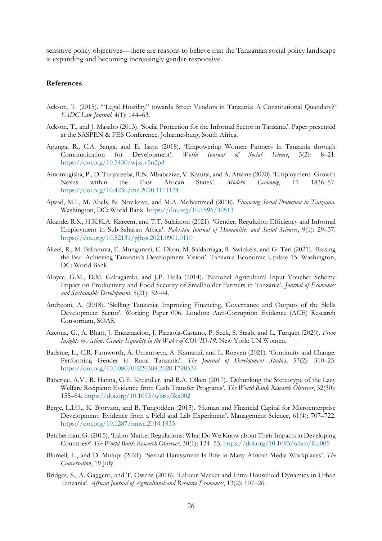sensitive policy objectives—there are reasons to believe that the Tanzanian social policy landscape is expanding and becoming increasingly gender-responsive.

#### **References**

- Ackson, T. (2015). '"Legal Hostility" towards Street Vendors in Tanzania: A Constitutional Quandary?' *SADC Law Journal*, 4(1): 144–63.
- Ackson, T., and J. Masabo (2013). 'Social Protection for the Informal Sector in Tanzania'. Paper presented at the SASPEN & FES Conference, Johannesburg, South Africa.
- Agunga, R., C.A. Sanga, and E. Isaya (2018). 'Empowering Women Farmers in Tanzania through Communication for Development'. *World Journal of Social Science*, 5(2): 8–21. <https://doi.org/10.5430/wjss.v5n2p8>
- Ainomugisha, P., D. Turyareeba, R.N. Mbabazize, V. Katutsi, and A. Atwine (2020). 'Employment–Growth Nexus within the East African States'. *Modern Economy*, 11 1836–57. <https://doi.org/10.4236/me.2020.1111124>
- Ajwad, M.I., M. Abels, N. Novikova, and M.A. Mohammed (2018). *Financing Social Protection in Tanzania*. Washington, DC: World Bank.<https://doi.org/10.1596/30513>
- Akande, R.S., H.K.K.A. Kareem, and T.T. Sulaimon (2021). 'Gender, Regulation Efficiency and Informal Employment in Sub-Saharan Africa'. *Pakistan Journal of Humanities and Social Sciences*, 9(1): 29–37. <https://doi.org/10.52131/pjhss.2021.0901.0110>
- Akeel, R., M. Bakanova, E. Mungunasi, C. Okou, M. Saldarriaga, R. Swinkels, and G. Teri (2021). 'Raising the Bar: Achieving Tanzania's Development Vision'. Tanzania Economic Update 15. Washington, DC: World Bank.
- Aloyce, G.M., D.M. Gabagambi, and J.P. Hella (2014). 'National Agricultural Input Voucher Scheme Impact on Productivity and Food Security of Smallholder Farmers in Tanzania'. *Journal of Economics and Sustainable Development*, 5(21): 32–44.
- Andreoni, A. (2018). 'Skilling Tanzania: Improving Financing, Governance and Outputs of the Skills Development Sector'. Working Paper 006. London: Anti-Corruption Evidence (ACE) Research Consortium, SOAS.
- Azcona, G., A. Bhatt, J. Encarnacion, J. Plazaola-Castano, P. Seck, S. Staab, and L. Turquet (2020). *From Insights to Action: Gender Equality in the Wake of COVID-19*. New York: UN Women.
- Badstue, L., C.R. Farnworth, A. Umantseva, A. Kamanzi, and L. Roeven (2021). 'Continuity and Change: Performing Gender in Rural Tanzania'. *The Journal of Development Studies*, 57(2): 310–25. <https://doi.org/10.1080/00220388.2020.1790534>
- Banerjee, A.V., R. Hanna, G.E. Kreindler, and B.A. Olken (2017). 'Debunking the Stereotype of the Lazy Welfare Recipient: Evidence from Cash Transfer Programs'. *The World Bank Research Observer*, 32(30): 155–84. <https://doi.org/10.1093/wbro/lkx002>
- Berge, L.I.O., K. Bjorvatn, and B. Tungodden (2015). 'Human and Financial Capital for Microenterprise Development: Evidence from a Field and Lab Experiment'. Management Science, 61(4): 707–722. <https://doi.org/10.1287/mnsc.2014.1933>
- Betcherman, G. (2015). 'Labor Market Regulations: What Do We Know about Their Impacts in Developing Countries?' *The World Bank Research Observer*, 30(1): 124–53.<https://doi.org/10.1093/wbro/lku005>
- Blumell, L., and D. Mulupi (2021). 'Sexual Harassment Is Rife in Many African Media Workplaces'. *The Conversation*, 19 July.
- Bridges, S., A. Gaggero, and T. Owens (2018). 'Labour Market and Intra-Household Dynamics in Urban Tanzania'. *African Journal of Agricultural and Resource Economics*, 13(2): 107–26.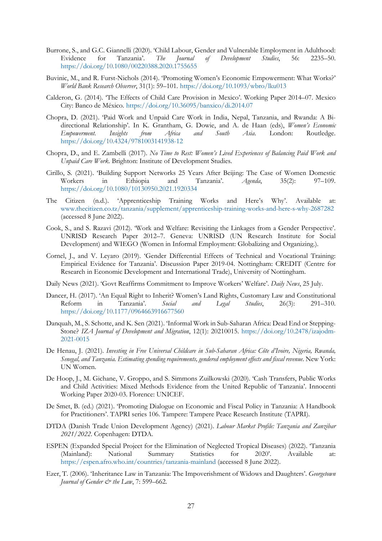- Burrone, S., and G.C. Giannelli (2020). 'Child Labour, Gender and Vulnerable Employment in Adulthood: Evidence for Tanzania'. *The Journal of Development Studies*, 56: 2235–50. <https://doi.org/10.1080/00220388.2020.1755655>
- Buvinic, M., and R. Furst-Nichols (2014). 'Promoting Women's Economic Empowerment: What Works?' *World Bank Research Observer*, 31(1): 59–101. <https://doi.org/10.1093/wbro/lku013>
- Calderon, G. (2014). 'The Effects of Child Care Provision in Mexico'. Working Paper 2014–07. Mexico City: Banco de México. <https://doi.org/10.36095/banxico/di.2014.07>
- Chopra, D. (2021). 'Paid Work and Unpaid Care Work in India, Nepal, Tanzania, and Rwanda: A Bidirectional Relationship'. In K. Grantham, G. Dowie, and A. de Haan (eds), *Women's Economic Empowerment. Insights from Africa and South Asia*. London: Routledge. <https://doi.org/10.4324/9781003141938-12>
- Chopra, D., and E. Zambelli (2017). *No Time to Rest: Women's Lived Experiences of Balancing Paid Work and Unpaid Care Work*. Brighton: Institute of Development Studies.
- Cirillo, S. (2021). 'Building Support Networks 25 Years After Beijing: The Case of Women Domestic Workers in Ethiopia and Tanzania'. *Agenda*, 35(2): 97–109. <https://doi.org/10.1080/10130950.2021.1920334>
- The Citizen (n.d.). 'Apprenticeship Training Works and Here's Why'. Available at: [www.thecitizen.co.tz/tanzania/supplement/apprenticeship-training-works-and-here-s-why-2687282](http://www.thecitizen.co.tz/tanzania/supplement/apprenticeship-training-works-and-here-s-why-2687282) (accessed 8 June 2022).
- Cook, S., and S. Razavi (2012). 'Work and Welfare: Revisiting the Linkages from a Gender Perspective'. UNRISD Research Paper 2012–7. Geneva: UNRISD (UN Research Institute for Social Development) and WIEGO (Women in Informal Employment: Globalizing and Organizing.).
- Cornel, J., and V. Leyaro (2019). 'Gender Differential Effects of Technical and Vocational Training: Empirical Evidence for Tanzania'. Discussion Paper 2019-04. Nottingham: CREDIT (Centre for Research in Economic Development and International Trade), University of Nottingham.
- Daily News (2021). 'Govt Reaffirms Commitment to Improve Workers' Welfare'. *Daily News*, 25 July.
- Dancer, H. (2017). 'An Equal Right to Inherit? Women's Land Rights, Customary Law and Constitutional Reform in Tanzania'. *Social and Legal Studies*, 26(3): 291–310. <https://doi.org/10.1177/0964663916677560>
- Danquah, M., S. Schotte, and K. Sen (2021). 'Informal Work in Sub-Saharan Africa: Dead End or Stepping-Stone? *IZA Journal of Development and Migration*, 12(1): 20210015. [https://doi.org/10.2478/izajodm-](https://doi.org/10.2478/izajodm-2021-0015)[2021-0015](https://doi.org/10.2478/izajodm-2021-0015)
- De Henau, J. (2021). *Investing in Free Universal Childcare in Sub-Saharan Africa: Côte d'Ivoire, Nigeria, Rwanda, Senegal, and Tanzania. Estimating spending requirements, gendered employment effects and fiscal revenue*. New York: UN Women.
- De Hoop, J., M. Gichane, V. Groppo, and S. Simmons Zuilkowski (2020). 'Cash Transfers, Public Works and Child Activities: Mixed Methods Evidence from the United Republic of Tanzania'. Innocenti Working Paper 2020-03. Florence: UNICEF.
- De Smet, B. (ed.) (2021). 'Promoting Dialogue on Economic and Fiscal Policy in Tanzania: A Handbook for Practitioners'. TAPRI series 106. Tampere: Tampere Peace Research Institute (TAPRI).
- DTDA (Danish Trade Union Development Agency) (2021). *Labour Market Profile: Tanzania and Zanzibar 2021/2022*. Copenhagen: DTDA.
- ESPEN (Expanded Special Project for the Elimination of Neglected Tropical Diseases) (2022). 'Tanzania (Mainland): National Summary Statistics for 2020'. Available at: <https://espen.afro.who.int/countries/tanzania-mainland> (accessed 8 June 2022).
- Ezer, T. (2006). 'Inheritance Law in Tanzania: The Impoverishment of Widows and Daughters'. *Georgetown Journal of Gender*  $\breve{c}$  *the Law*, 7: 599–662.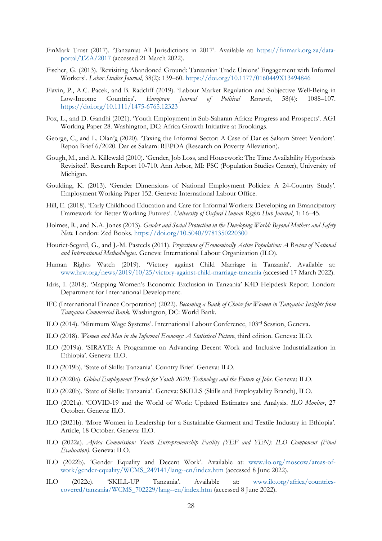- FinMark Trust (2017). 'Tanzania: All Jurisdictions in 2017'. Available at: [https://finmark.org.za/data](https://finmark.org.za/data-portal/TZA/2017)[portal/TZA/2017](https://finmark.org.za/data-portal/TZA/2017) (accessed 21 March 2022).
- Fischer, G. (2013). 'Revisiting Abandoned Ground: Tanzanian Trade Unions' Engagement with Informal Workers'. *Labor Studies Journal*, 38(2): 139–60.<https://doi.org/10.1177/0160449X13494846>
- Flavin, P., A.C. Pacek, and B. Radcliff (2019). 'Labour Market Regulation and Subjective Well‐Being in Low‐Income Countries'. *European Journal of Political Research*, 58(4): 1088–107. <https://doi.org/10.1111/1475-6765.12323>
- Fox, L., and D. Gandhi (2021). 'Youth Employment in Sub-Saharan Africa: Progress and Prospects'. AGI Working Paper 28. Washington, DC: Africa Growth Initiative at Brookings.
- George, C., and L. Olan'g (2020). 'Taxing the Informal Sector: A Case of Dar es Salaam Street Vendors'. Repoa Brief 6/2020. Dar es Salaam: REPOA (Research on Poverty Alleviation).
- Gough, M., and A. Killewald (2010). 'Gender, Job Loss, and Housework: The Time Availability Hypothesis Revisited'. Research Report 10-710. Ann Arbor, MI: PSC (Population Studies Center), University of Michigan.
- Goulding, K. (2013). 'Gender Dimensions of National Employment Policies: A 24-Country Study'. Employment Working Paper 152. Geneva: International Labour Office.
- Hill, E. (2018). 'Early Childhood Education and Care for Informal Workers: Developing an Emancipatory Framework for Better Working Futures'. *University of Oxford Human Rights Hub Journal*, 1: 16–45.
- Holmes, R., and N.A. Jones (2013). *Gender and Social Protection in the Developing World: Beyond Mothers and Safety Nets*. London: Zed Books. <https://doi.org/10.5040/9781350220300>
- Houriet-Segard, G., and J.-M. Pasteels (2011). *Projections of Economically Active Population: A Review of National and International Methodologies*. Geneva: International Labour Organization (ILO).
- Human Rights Watch (2019). 'Victory against Child Marriage in Tanzania'. Available at: [www.hrw.org/news/2019/10/25/victory-against-child-marriage-tanzania](http://www.hrw.org/news/2019/10/25/victory-against-child-marriage-tanzania) (accessed 17 March 2022).
- Idris, I. (2018). 'Mapping Women's Economic Exclusion in Tanzania' K4D Helpdesk Report. London: Department for International Development.
- IFC (International Finance Corporation) (2022). *Becoming a Bank of Choice for Women in Tanzania: Insights from Tanzania Commercial Bank*. Washington, DC: World Bank.
- ILO (2014). 'Minimum Wage Systems'. International Labour Conference, 103rd Session, Geneva.
- ILO (2018). *Women and Men in the Informal Economy: A Statistical Picture*, third edition. Geneva: ILO.
- ILO (2019a). 'SIRAYE: A Programme on Advancing Decent Work and Inclusive Industrialization in Ethiopia'. Geneva: ILO.
- ILO (2019b). 'State of Skills: Tanzania'. Country Brief. Geneva: ILO.
- ILO (2020a). *Global Employment Trends for Youth 2020: Technology and the Future of Jobs*. Geneva: ILO.
- ILO (2020b). 'State of Skills: Tanzania'. Geneva: SKILLS (Skills and Employability Branch), ILO.
- ILO (2021a). 'COVID-19 and the World of Work: Updated Estimates and Analysis. *ILO Monitor*, 27 October. Geneva: ILO.
- ILO (2021b). 'More Women in Leadership for a Sustainable Garment and Textile Industry in Ethiopia'. Article, 18 October. Geneva: ILO.
- ILO (2022a). *Africa Commission: Youth Entrepreneurship Facility (YEF and YEN): ILO Component (Final Evaluation)*. Geneva: ILO.
- ILO (2022b). 'Gender Equality and Decent Work'. Available at: [www.ilo.org/moscow/areas-of](https://www.ilo.org/moscow/areas-of-work/gender-equality/WCMS_249141/lang--en/index.htm)[work/gender-equality/WCMS\\_249141/lang--en/index.htm](https://www.ilo.org/moscow/areas-of-work/gender-equality/WCMS_249141/lang--en/index.htm) (accessed 8 June 2022).
- ILO (2022c). 'SKILL-UP Tanzania'. Available at: [www.ilo.org/africa/countries](https://www.ilo.org/africa/countries-covered/tanzania/WCMS_702229/lang--en/index.htm)[covered/tanzania/WCMS\\_702229/lang--en/index.htm](https://www.ilo.org/africa/countries-covered/tanzania/WCMS_702229/lang--en/index.htm) (accessed 8 June 2022).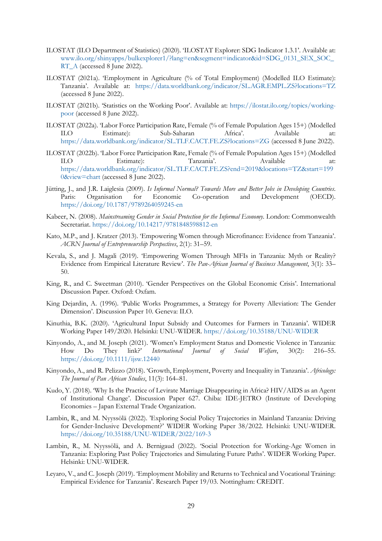- ILOSTAT (ILO Department of Statistics) (2020). 'ILOSTAT Explorer: SDG Indicator 1.3.1'. Available at: [www.ilo.org/shinyapps/bulkexplorer1/?lang=en&segment=indicator&id=SDG\\_0131\\_SEX\\_SOC\\_](https://www.ilo.org/shinyapps/bulkexplorer1/?lang=en&segment=indicator&id=SDG_0131_SEX_SOC_RT_A) [RT\\_A](https://www.ilo.org/shinyapps/bulkexplorer1/?lang=en&segment=indicator&id=SDG_0131_SEX_SOC_RT_A) (accessed 8 June 2022).
- ILOSTAT (2021a). 'Employment in Agriculture (% of Total Employment) (Modelled ILO Estimate): Tanzania'. Available at: <https://data.worldbank.org/indicator/SL.AGR.EMPL.ZS?locations=TZ> (accessed 8 June 2022).
- ILOSTAT (2021b). 'Statistics on the Working Poor'. Available at: [https://ilostat.ilo.org/topics/working](https://ilostat.ilo.org/topics/working-poor/)[poor](https://ilostat.ilo.org/topics/working-poor/) (accessed 8 June 2022).
- ILOSTAT (2022a). 'Labor Force Participation Rate, Female (% of Female Population Ages 15+) (Modelled ILO Estimate): Sub-Saharan Africa'. Available at: <https://data.worldbank.org/indicator/SL.TLF.CACT.FE.ZS?locations=ZG> (accessed 8 June 2022).
- ILOSTAT (2022b). 'Labor Force Participation Rate, Female (% of Female Population Ages 15+) (Modelled ILO Estimate): Tanzania'. Available at: [https://data.worldbank.org/indicator/SL.TLF.CACT.FE.ZS?end=2019&locations=TZ&start=199](https://data.worldbank.org/indicator/SL.TLF.CACT.FE.ZS?end=2019&locations=TZ&start=1990&view=chart) [0&view=chart](https://data.worldbank.org/indicator/SL.TLF.CACT.FE.ZS?end=2019&locations=TZ&start=1990&view=chart) (accessed 8 June 2022).
- Jütting, J., and J.R. Laiglesia (2009). *Is Informal Normal? Towards More and Better Jobs in Developing Countries*. Paris: Organisation for Economic Co-operation and Development (OECD). <https://doi.org/10.1787/9789264059245-en>
- Kabeer, N. (2008). *Mainstreaming Gender in Social Protection for the Informal Economy*. London: Commonwealth Secretariat. <https://doi.org/10.14217/9781848598812-en>
- Kato, M.P., and J. Kratzer (2013). 'Empowering Women through Microfinance: Evidence from Tanzania'. *ACRN Journal of Entrepreneurship Perspectives*, 2(1): 31–59.
- Kevala, S., and J. Magali (2019). 'Empowering Women Through MFIs in Tanzania: Myth or Reality? Evidence from Empirical Literature Review'. *The Pan-African Journal of Business Management*, 3(1): 33– 50.
- King, R., and C. Sweetman (2010). 'Gender Perspectives on the Global Economic Crisis'. International Discussion Paper. Oxford: Oxfam.
- King Dejardin, A. (1996). 'Public Works Programmes, a Strategy for Poverty Alleviation: The Gender Dimension'. Discussion Paper 10. Geneva: ILO.
- Kinuthia, B.K. (2020). 'Agricultural Input Subsidy and Outcomes for Farmers in Tanzania'. WIDER Working Paper 149/2020. Helsinki: UNU-WIDER.<https://doi.org/10.35188/UNU-WIDER>
- Kinyondo, A., and M. Joseph (2021). 'Women's Employment Status and Domestic Violence in Tanzania: How Do They link?' *International Journal of Social Welfare*, 30(2): 216–55. <https://doi.org/10.1111/ijsw.12440>
- Kinyondo, A., and R. Pelizzo (2018). 'Growth, Employment, Poverty and Inequality in Tanzania'. *Africology: The Journal of Pan African Studies*, 11(3): 164–81.
- Kudo, Y. (2018). 'Why Is the Practice of Levirate Marriage Disappearing in Africa? HIV/AIDS as an Agent of Institutional Change'. Discussion Paper 627. Chiba: IDE-JETRO (Institute of Developing Economies – Japan External Trade Organization.
- Lambin, R., and M. Nyyssölä (2022). 'Exploring Social Policy Trajectories in Mainland Tanzania: Driving for Gender-Inclusive Development?' WIDER Working Paper 38/2022. Helsinki: UNU-WIDER. <https://doi.org/10.35188/UNU-WIDER/2022/169-3>
- Lambin, R., M. Nyyssölä, and A. Bernigaud (2022). 'Social Protection for Working-Age Women in Tanzania: Exploring Past Policy Trajectories and Simulating Future Paths'. WIDER Working Paper. Helsinki: UNU-WIDER.
- Leyaro, V., and C. Joseph (2019). 'Employment Mobility and Returns to Technical and Vocational Training: Empirical Evidence for Tanzania'. Research Paper 19/03. Nottingham: CREDIT.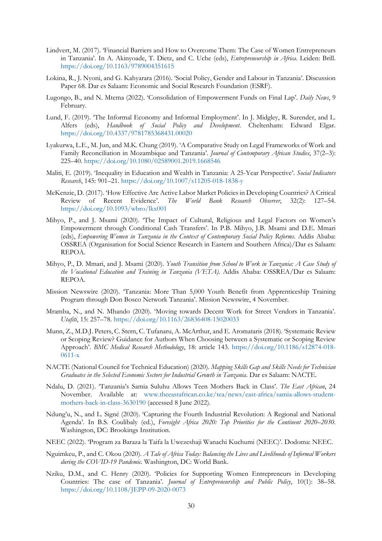- Lindvert, M. (2017). 'Financial Barriers and How to Overcome Them: The Case of Women Entrepreneurs in Tanzania'. In A. Akinyoade, T. Dietz, and C. Uche (eds), *Entrepreneurship in Africa*. Leiden: Brill. <https://doi.org/10.1163/9789004351615>
- Lokina, R., J. Nyoni, and G. Kahyarara (2016). 'Social Policy, Gender and Labour in Tanzania'. Discussion Paper 68. Dar es Salaam: Economic and Social Research Foundation (ESRF).
- Lugongo, B., and N. Mtema (2022). 'Consolidation of Empowerment Funds on Final Lap'. *Daily News*, 9 February.
- Lund, F. (2019). 'The Informal Economy and Informal Employment'. In J. Midgley, R. Surender, and L. Alfers (eds), *Handbook of Social Policy and Development*. Cheltenham: Edward Elgar. <https://doi.org/10.4337/9781785368431.00020>
- Lyakurwa, L.E., M. Jun, and M.K. Chung (2019). 'A Comparative Study on Legal Frameworks of Work and Family Reconciliation in Mozambique and Tanzania'. *Journal of Contemporary African Studies*, 37(2–3): 225–40.<https://doi.org/10.1080/02589001.2019.1668546>
- Maliti, E. (2019). 'Inequality in Education and Wealth in Tanzania: A 25-Year Perspective'. *Social Indicators Research*, 145: 901–21.<https://doi.org/10.1007/s11205-018-1838-y>
- McKenzie, D. (2017). 'How Effective Are Active Labor Market Policies in Developing Countries? A Critical Review of Recent Evidence'. *The World Bank Research Observer*, 32(2): 127–54. <https://doi.org/10.1093/wbro/lkx001>
- Mihyo, P., and J. Msami (2020). 'The Impact of Cultural, Religious and Legal Factors on Women's Empowerment through Conditional Cash Transfers'. In P.B. Mihyo, J.B. Msami and D.E. Mmari (eds), *Empowering Women in Tanzania in the Context of Contemporary Social Policy Reforms*. Addis Ababa: OSSREA (Organisation for Social Science Research in Eastern and Southern Africa)/Dar es Salaam: REPOA.
- Mihyo, P., D. Mmari, and J. Msami (2020). *Youth Transition from School to Work in Tanzania: A Case Study of the Vocational Education and Training in Tanzania (VETA)*. Addis Ababa: OSSREA/Dar es Salaam: REPOA.
- Mission Newswire (2020). 'Tanzania: More Than 5,000 Youth Benefit from Apprenticeship Training Program through Don Bosco Network Tanzania'. Mission Newswire, 4 November.
- Mramba, N., and N. Mhando (2020). 'Moving towards Decent Work for Street Vendors in Tanzania'. *Utafiti*, 15: 257–78. <https://doi.org/10.1163/26836408-15020033>
- Munn, Z., M.D.J. Peters, C. Stern, C. Tufanaru, A. McArthur, and E. Aromataris (2018). 'Systematic Review or Scoping Review? Guidance for Authors When Choosing between a Systematic or Scoping Review Approach'. *BMC Medical Research Methodology*, 18: article 143. [https://doi.org/10.1186/s12874-018-](https://doi.org/10.1186/s12874-018-0611-x) [0611-x](https://doi.org/10.1186/s12874-018-0611-x)
- NACTE (National Council for Technical Education) (2020). *Mapping Skills Gap and Skills Needs for Technician Graduates in the Selected Economic Sectors for Industrial Growth in Tanzania*. Dar es Salaam: NACTE.
- Ndalu, D. (2021). 'Tanzania's Samia Suluhu Allows Teen Mothers Back in Class'. *The East African*, 24 November. Available at: [www.theeastafrican.co.ke/tea/news/east-africa/samia-allows-student](http://www.theeastafrican.co.ke/tea/news/east-africa/samia-allows-student-mothers-back-in-class-3630190)[mothers-back-in-class-3630190](http://www.theeastafrican.co.ke/tea/news/east-africa/samia-allows-student-mothers-back-in-class-3630190) (accessed 8 June 2022).
- Ndung'u, N., and L. Signé (2020). 'Capturing the Fourth Industrial Revolution: A Regional and National Agenda'. In B.S. Coulibaly (ed.), *Foresight Africa 2020: Top Priorities for the Continent 2020–2030*. Washington, DC: Brookings Institution.
- NEEC (2022). 'Program za Baraza la Taifa la Uwezeshaji Wanachi Kuchumi (NEEC)'. Dodoma: NEEC.
- Nguimkeu, P., and C. Okou (2020). *A Tale of Africa Today: Balancing the Lives and Livelihoods of Informal Workers during the COVID-19 Pandemic*. Washington, DC: World Bank.
- Nziku, D.M., and C. Henry (2020). 'Policies for Supporting Women Entrepreneurs in Developing Countries: The case of Tanzania'. *Journal of Entrepreneurship and Public Policy*, 10(1): 38–58. <https://doi.org/10.1108/JEPP-09-2020-0073>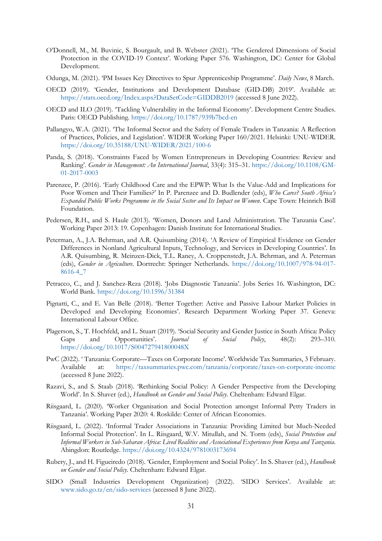- O'Donnell, M., M. Buvinic, S. Bourgault, and B. Webster (2021). 'The Gendered Dimensions of Social Protection in the COVID-19 Context'. Working Paper 576. Washington, DC: Center for Global Development.
- Odunga, M. (2021). 'PM Issues Key Directives to Spur Apprenticeship Programme'. *Daily News*, 8 March.
- OECD (2019). 'Gender, Institutions and Development Database (GID-DB) 2019'. Available at: <https://stats.oecd.org/Index.aspx?DataSetCode=GIDDB2019> (accessed 8 June 2022).
- OECD and ILO (2019). 'Tackling Vulnerability in the Informal Economy'. Development Centre Studies. Paris: OECD Publishing. <https://doi.org/10.1787/939b7bcd-en>
- Pallangyo, W.A. (2021). 'The Informal Sector and the Safety of Female Traders in Tanzania: A Reflection of Practices, Policies, and Legislation'. WIDER Working Paper 160/2021. Helsinki: UNU-WIDER. <https://doi.org/10.35188/UNU-WIDER/2021/100-6>
- Panda, S. (2018). 'Constraints Faced by Women Entrepreneurs in Developing Countries: Review and Ranking'. *Gender in Management: An International Journal*, 33(4): 315–31. [https://doi.org/10.1108/GM-](https://doi.org/10.1108/GM-01-2017-0003)[01-2017-0003](https://doi.org/10.1108/GM-01-2017-0003)
- Parenzee, P. (2016). 'Early Childhood Care and the EPWP: What Is the Value-Add and Implications for Poor Women and Their Families?' In P. Parenzee and D. Budlender (eds), *Who Cares? South Africa's Expanded Public Works Programme in the Social Sector and Its Impact on Women*. Cape Town: Heinrich Böll Foundation.
- Pedersen, R.H., and S. Haule (2013). 'Women, Donors and Land Administration. The Tanzania Case'. Working Paper 2013: 19. Copenhagen: Danish Institute for International Studies.
- Peterman, A., J.A. Behrman, and A.R. Quisumbing (2014). 'A Review of Empirical Evidence on Gender Differences in Nonland Agricultural Inputs, Technology, and Services in Developing Countries'. In A.R. Quisumbing, R. Meinzen-Dick, T.L. Raney, A. Croppenstedt, J.A. Behrman, and A. Peterman (eds), *Gender in Agriculture*. Dortrecht: Springer Netherlands. [https://doi.org/10.1007/978-94-017-](https://doi.org/10.1007/978-94-017-8616-4_7) [8616-4\\_7](https://doi.org/10.1007/978-94-017-8616-4_7)
- Petracco, C., and J. Sanchez-Reza (2018). 'Jobs Diagnostic Tanzania'. Jobs Series 16. Washington, DC: World Bank. <https://doi.org/10.1596/31384>
- Pignatti, C., and E. Van Belle (2018). 'Better Together: Active and Passive Labour Market Policies in Developed and Developing Economies'. Research Department Working Paper 37. Geneva: International Labour Office.
- Plagerson, S., T. Hochfeld, and L. Stuart (2019). 'Social Security and Gender Justice in South Africa: Policy Gaps and Opportunities'. *Journal of Social Policy*, 48(2): 293–310. <https://doi.org/10.1017/S004727941800048X>
- PwC (2022). ' Tanzania: Corporate—Taxes on Corporate Income'. Worldwide Tax Summaries, 3 February. Available at: <https://taxsummaries.pwc.com/tanzania/corporate/taxes-on-corporate-income> (accessed 8 June 2022).
- Razavi, S., and S. Staab (2018). 'Rethinking Social Policy: A Gender Perspective from the Developing World'. In S. Shaver (ed.), *Handbook on Gender and Social Policy*. Cheltenham: Edward Elgar.
- Riisgaard, L. (2020). 'Worker Organisation and Social Protection amongst Informal Petty Traders in Tanzania'. Working Paper 2020: 4. Roskilde: Center of African Economies.
- Riisgaard, L. (2022). 'Informal Trader Associations in Tanzania: Providing Limited but Much-Needed Informal Social Protection'. In L. Riisgaard, W.V. Mitullah, and N. Torm (eds), *Social Protection and Informal Workers in Sub-Saharan Africa: Lived Realities and Associational Experiences from Kenya and Tanzania*. Abingdon: Routledge. <https://doi.org/10.4324/9781003173694>
- Rubery, J., and H. Figueiredo (2018). 'Gender, Employment and Social Policy'. In S. Shaver (ed.), *Handbook on Gender and Social Policy*. Cheltenham: Edward Elgar.
- SIDO (Small Industries Development Organization) (2022). 'SIDO Services'. Available at: [www.sido.go.tz/en/sido-services](https://www.sido.go.tz/en/sido-services) (accessed 8 June 2022).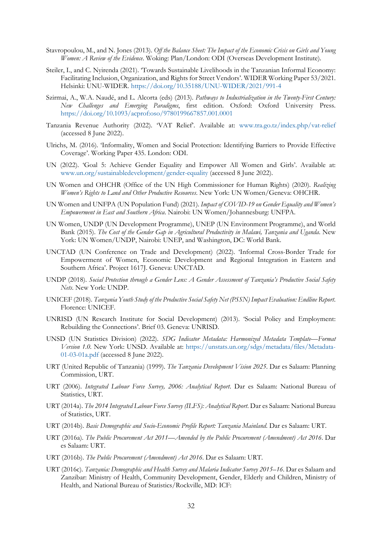- Stavropoulou, M., and N. Jones (2013). *Off the Balance Sheet: The Impact of the Economic Crisis on Girls and Young Women: A Review of the Evidence*. Woking: Plan/London: ODI (Overseas Development Institute).
- Steiler, I., and C. Nyirenda (2021). 'Towards Sustainable Livelihoods in the Tanzanian Informal Economy: Facilitating Inclusion, Organization, and Rights for Street Vendors'. WIDER Working Paper 53/2021. Helsinki: UNU-WIDER. <https://doi.org/10.35188/UNU-WIDER/2021/991-4>
- Szirmai, A., W.A. Naudé, and L. Alcorta (eds) (2013). *Pathways to Industrialization in the Twenty-First Century: New Challenges and Emerging Paradigms*, first edition. Oxford: Oxford University Press. <https://doi.org/10.1093/acprof:oso/9780199667857.001.0001>
- Tanzania Revenue Authority (2022). 'VAT Relief'. Available at: [www.tra.go.tz/index.php/vat-relief](https://www.tra.go.tz/index.php/vat-relief) (accessed 8 June 2022).
- Ulrichs, M. (2016). 'Informality, Women and Social Protection: Identifying Barriers to Provide Effective Coverage'. Working Paper 435. London: ODI.
- UN (2022). 'Goal 5: Achieve Gender Equality and Empower All Women and Girls'. Available at: [www.un.org/sustainabledevelopment/gender-equality](http://www.un.org/sustainabledevelopment/gender-equality) (accessed 8 June 2022).
- UN Women and OHCHR (Office of the UN High Commissioner for Human Rights) (2020). *Realizing Women's Rights to Land and Other Productive Resources*. New York: UN Women/Geneva: OHCHR.
- UN Women and UNFPA (UN Population Fund) (2021). *Impact of COVID-19 on Gender Equality and Women's Empowerment in East and Southern Africa*. Nairobi: UN Women/Johannesburg: UNFPA.
- UN Women, UNDP (UN Development Programme), UNEP (UN Environment Programme), and World Bank (2015). *The Cost of the Gender Gap in Agricultural Productivity in Malawi, Tanzania and Uganda*. New York: UN Women/UNDP, Nairobi: UNEP, and Washington, DC: World Bank.
- UNCTAD (UN Conference on Trade and Development) (2022). 'Informal Cross-Border Trade for Empowerment of Women, Economic Development and Regional Integration in Eastern and Southern Africa'. Project 1617J. Geneva: UNCTAD.
- UNDP (2018). *Social Protection through a Gender Lens: A Gender Assessment of Tanzania's Productive Social Safety Nets*. New York: UNDP.
- UNICEF (2018). *Tanzania Youth Study of the Productive Social Safety Net (PSSN) Impact Evaluation: Endline Report*. Florence: UNICEF.
- UNRISD (UN Research Institute for Social Development) (2013). 'Social Policy and Employment: Rebuilding the Connections'. Brief 03. Geneva: UNRISD.
- UNSD (UN Statistics Division) (2022). *SDG Indicator Metadata: Harmonized Metadata Template—Format Version 1.0*. New York: UNSD. Available at: [https://unstats.un.org/sdgs/metadata/files/Metadata-](https://unstats.un.org/sdgs/metadata/files/Metadata-01-03-01a.pdf)[01-03-01a.pdf](https://unstats.un.org/sdgs/metadata/files/Metadata-01-03-01a.pdf) (accessed 8 June 2022).
- URT (United Republic of Tanzania) (1999). *The Tanzania Development Vision 2025*. Dar es Salaam: Planning Commission, URT.
- URT (2006). *Integrated Labour Force Survey, 2006: Analytical Report*. Dar es Salaam: National Bureau of Statistics, URT.
- URT (2014a). *The 2014 Integrated Labour Force Survey (ILFS): Analytical Report*. Dar es Salaam: National Bureau of Statistics, URT.
- URT (2014b). *Basic Demographic and Socio-Economic Profile Report: Tanzania Mainland*. Dar es Salaam: URT.
- URT (2016a). *The Public Procurement Act 2011—Amended by the Public Procurement (Amendment) Act 2016*. Dar es Salaam: URT.
- URT (2016b). *The Public Procurement (Amendment) Act 2016*. Dar es Salaam: URT.
- URT (2016c). *Tanzania: Demographic and Health Survey and Malaria Indicator Survey 2015–16*. Dar es Salaam and Zanzibar: Ministry of Health, Community Development, Gender, Elderly and Children, Ministry of Health, and National Bureau of Statistics/Rockville, MD: ICF: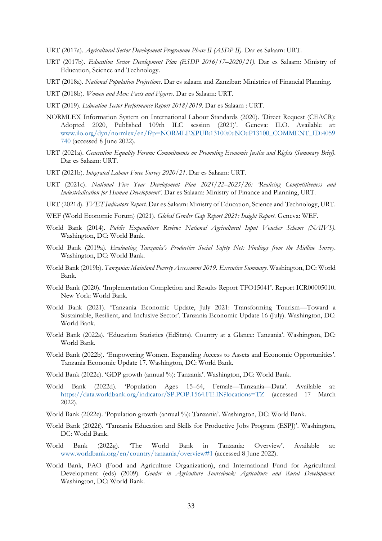- URT (2017a). *Agricultural Sector Development Programme Phase II (ASDP II)*. Dar es Salaam: URT.
- URT (2017b). *Education Sector Development Plan (ESDP 2016/17–2020/21)*. Dar es Salaam: Ministry of Education, Science and Technology.
- URT (2018a). *National Population Projections*. Dar es salaam and Zanzibar: Ministries of Financial Planning.
- URT (2018b). *Women and Men: Facts and Figures*. Dar es Salaam: URT.
- URT (2019). *Education Sector Performance Report 2018/2019*. Dar es Salaam : URT.
- NORMLEX Information System on International Labour Standards (2020). 'Direct Request (CEACR): Adopted 2020, Published 109th ILC session (2021)'. Geneva: ILO. Available at: [www.ilo.org/dyn/normlex/en/f?p=NORMLEXPUB:13100:0::NO::P13100\\_COMMENT\\_ID:4059](http://www.ilo.org/dyn/normlex/en/f?p=NORMLEXPUB:13100:0::NO::P13100_COMMENT_ID:4059740) [740](http://www.ilo.org/dyn/normlex/en/f?p=NORMLEXPUB:13100:0::NO::P13100_COMMENT_ID:4059740) (accessed 8 June 2022).
- URT (2021a). *Generation Equality Forum: Commitments on Promoting Economic Justice and Rights (Summary Brief)*. Dar es Salaam: URT.
- URT (2021b). *Integrated Labour Force Survey 2020/21*. Dar es Salaam: URT.
- URT (2021c). *National Five Year Development Plan 2021/22–2025/26: 'Realising Competitiveness and Industrialisation for Human Development'*. Dar es Salaam: Ministry of Finance and Planning, URT.
- URT (2021d). *TVET Indicators Report*. Dar es Salaam: Ministry of Education, Science and Technology, URT.
- WEF (World Economic Forum) (2021). *Global Gender Gap Report 2021: Insight Report*. Geneva: WEF.
- World Bank (2014). *Public Expenditure Review: National Agricultural Input Voucher Scheme (NAIVS)*. Washington, DC: World Bank.
- World Bank (2019a). *Evaluating Tanzania's Productive Social Safety Net: Findings from the Midline Survey*. Washington, DC: World Bank.
- World Bank (2019b). *Tanzania: Mainland Poverty Assessment 2019. Executive Summary*. Washington, DC: World Bank.
- World Bank (2020). 'Implementation Completion and Results Report TFO15041'. Report ICR00005010. New York: World Bank.
- World Bank (2021). 'Tanzania Economic Update, July 2021: Transforming Tourism—Toward a Sustainable, Resilient, and Inclusive Sector'. Tanzania Economic Update 16 (July). Washington, DC: World Bank.
- World Bank (2022a). 'Education Statistics (EdStats). Country at a Glance: Tanzania'. Washington, DC: World Bank.
- World Bank (2022b). 'Empowering Women. Expanding Access to Assets and Economic Opportunities'. Tanzania Economic Update 17. Washington, DC: World Bank.
- World Bank (2022c). 'GDP growth (annual %): Tanzania'. Washington, DC: World Bank.
- World Bank (2022d). 'Population Ages 15–64, Female—Tanzania—Data'. Available at: <https://data.worldbank.org/indicator/SP.POP.1564.FE.IN?locations=TZ> (accessed 17 March 2022).
- World Bank (2022e). 'Population growth (annual %): Tanzania'. Washington, DC: World Bank.
- World Bank (2022f). 'Tanzania Education and Skills for Productive Jobs Program (ESPJ)'. Washington, DC: World Bank.
- World Bank (2022g). 'The World Bank in Tanzania: Overview'. Available at: [www.worldbank.org/en/country/tanzania/overview#1](https://www.worldbank.org/en/country/tanzania/overview#1) (accessed 8 June 2022).
- World Bank, FAO (Food and Agriculture Organization), and International Fund for Agricultural Development (eds) (2009). *Gender in Agriculture Sourcebook: Agriculture and Rural Development*. Washington, DC: World Bank.